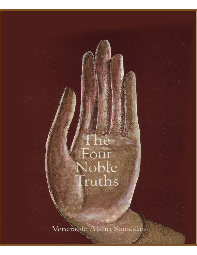# Four<br>Noble<br>Truths

Venerable Ajahn Sumedho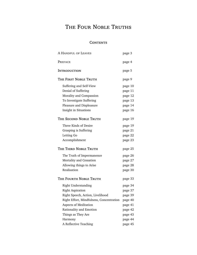# THE FOUR NOBLE TRUTHS

# **CONTENTS**

| A HANDFUL OF LEAVES                      | page 3  |
|------------------------------------------|---------|
| PREFACE                                  | page 4  |
| Introduction                             | page 5  |
| The First Noble Truth                    | page 9  |
| Suffering and Self-View                  | page 10 |
| Denial of Suffering                      | page 11 |
| Morality and Compassion                  | page 12 |
| To Investigate Suffering                 | page 13 |
| Pleasure and Displeasure                 | page 14 |
| Insight in Situations                    | page 16 |
| THE SECOND NOBLE TRUTH                   | page 19 |
| Three Kinds of Desire                    | page 19 |
| Grasping is Suffering                    | page 21 |
| Letting Go                               | page 22 |
| Accomplishment                           | page 23 |
| THE THIRD NOBLE TRUTH                    | page 25 |
| The Truth of Impermanence                | page 26 |
| Mortality and Cessation                  | page 27 |
| Allowing things to Arise                 | page 28 |
| Realisation                              | page 30 |
| The Fourth Noble Truth                   | page 33 |
| <b>Right Understanding</b>               | page 34 |
| <b>Right Aspiration</b>                  | page 37 |
| Right Speech, Action, Livelihood         | page 39 |
| Right Effort, Mindfulness, Concentration | page 40 |
| <b>Aspects of Meditation</b>             | page 41 |
| Rationality and Emotion                  | page 42 |
| Things as They Are                       | page 43 |
| Harmony                                  | page 44 |
| A Reflective Teaching                    | page 45 |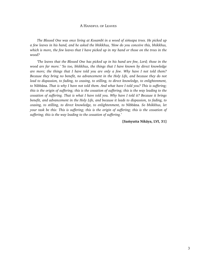# A Handful of Leaves

*The Blessed One was once living at Kosambī in a wood of simsapa trees. He picked up a few leaves in his hand, and he asked the bhikkhus, 'How do you conceive this, bhikkhus, which is more, the few leaves that I have picked up in my hand or those on the trees in the wood?* 

*'The leaves that the Blessed One has picked up in his hand are few, Lord; those in the wood are far more.' 'So too, bhikkhus, the things that I have known by direct knowledge are more; the things that I have told you are only a few. Why have I not told them? Because they bring no benefit, no advancement in the Holy Life, and because they do not lead to dispassion, to fading, to ceasing, to stilling, to direct knowledge, to enlightenment, to* Nibbàna*. That is why I have not told them. And what have I told you? This is suffering; this is the origin of suffering; this is the cessation of suffering; this is the way leading to the cessation of suffering. That is what I have told you. Why have I told it? Because it brings benefit, and advancement in the Holy Life, and because it leads to dispassion, to fading, to ceasing, to stilling, to direct knowledge, to enlightenment, to* Nibbàna*. So bhikkhus, let your task be this: This is suffering; this is the origin of suffering; this is the cessation of suffering; this is the way leading to the cessation of suffering.'*

#### **[Saÿyutta Nikàya, LVI, 31]**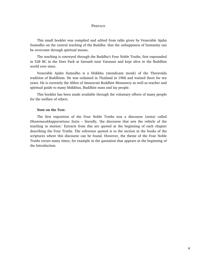#### **PREFACE**

This small booklet was compiled and edited from talks given by Venerable Ajahn Sumedho on the central teaching of the Buddha: that the unhappiness of humanity can be overcome through spiritual means.

The teaching is conveyed through the Buddha's Four Noble Truths, first expounded in 528 BC in the Deer Park at Sarnath near Varanasi and kept alive in the Buddhist world ever since.

Venerable Ajahn Sumedho is a bhikkhu (mendicant monk) of the Theravàda tradition of Buddhism. He was ordained in Thailand in 1966 and trained there for ten years. He is currently the Abbot of Amaravati Buddhist Monastery as well as teacher and spiritual guide to many bhikkhus, Buddhist nuns and lay people.

This booklet has been made available through the voluntary efforts of many people for the welfare of others.

# **Note on the Text:**

The first exposition of the Four Noble Truths was a discourse (sutta) called *Dhammacakkappavattana Sutta* – literally, 'the discourse that sets the vehicle of the teaching in motion.' Extracts from this are quoted at the beginning of each chapter describing the Four Truths. The reference quoted is to the section in the books of the scriptures where this discourse can be found. However, the theme of the Four Noble Truths recurs many times, for example in the quotation that appears at the beginning of the Introduction.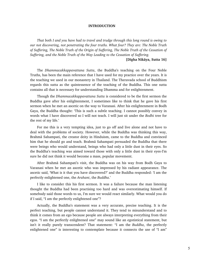#### **INTRODUCTION**

*That both I and you have had to travel and trudge through this long round is owing to our not discovering, not penetrating the four truths. What four? They are: The Noble Truth of Suffering, The Noble Truth of the Origin of Suffering, The Noble Truth of the Cessation of Suffering, and the Noble Truth of the Way Leading to the Cessation of Suffering.*

# **[Dãgha Nikàya, Sutta 16]**

The *Dhammacakkappavattana Sutta*, the Buddha's teaching on the Four Noble Truths, has been the main reference that I have used for my practice over the years. It is the teaching we used in our monastery in Thailand. The Theravada school of Buddhism regards this sutta as the quintessence of the teaching of the Buddha. This one sutta contains all that is necessary for understanding Dhamma and for enlightenment.

Though the *Dhammacakkappavattana Sutta* is considered to be the first sermon the Buddha gave after his enlightenment, I sometimes like to think that he gave his first sermon when he met an ascetic on the way to Varanasi. After his enlightenment in Bodh Gaya, the Buddha thought: 'This is such a subtle teaching. I cannot possibly convey in words what I have discovered so I will not teach. I will just sit under the *Bodhi* tree for the rest of my life.'

For me this is a very tempting idea, just to go off and live alone and not have to deal with the problems of society. However, while the Buddha was thinking this way, Brahmà Sahampati, the creator deity in Hinduism, came to the Buddha and convinced him that he should go and teach. Brahmà Sahampati persuaded the Buddha that there were beings who would understand, beings who had only a little dust in their eyes. So the Buddha's teaching was aimed toward those with only a little dust in their eyes-I'm sure he did not think it would become a mass, popular movement.

After Brahmà Sahampati's visit, the Buddha was on his way from Bodh Gaya to Varanasi when he met an ascetic who was impressed by his radiant appearance. The ascetic said, 'What is it that you have discovered?' and the Buddha responded: 'I am the perfectly enlightened one, the *Arahant*, the *Buddha*.'

I like to consider this his first sermon. It was a failure because the man listening thought the Buddha had been practising too hard and was overestimating himself. If somebody said those words to us, I'm sure we would react similarly. What would you do if I said, "I am the perfectly enlightened one"?

Actually, the Buddha's statement was a very accurate, precise teaching. It is the perfect teaching, but people cannot understand it. They tend to misunderstand and to think it comes from an ego because people are always interpreting everything from their egos. "I am the perfectly enlightened one" may sound like an egotistical statement, but isn't it really purely transcendent? That statement: "I am the *Buddha*, the perfectly enlightened one" is interesting to contemplate because it connects the use of "I am"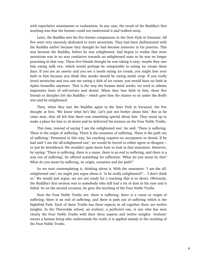with superlative attainments or realisations. In any case, the result of the Buddha's first teaching was that the listener could not understand it and walked away.

Later, the Buddha met his five former companions in the Deer Park in Varanasi. All five were very sincerely dedicated to strict asceticism. They had been disillusioned with the Buddha earlier because they thought he had become insincere in his practice. This was because the Buddha, before he was enlightened, had begun to realise that strict asceticism was in no way conducive towards an enlightened state so he was no longer practising in that way. These five friends thought he was taking it easy: maybe they saw him eating milk rice, which would perhaps be comparable to eating ice cream these days. If you are an ascetic and you see a monk eating ice cream, you might lose your faith in him because you think that monks should be eating nettle soup. If you really loved asceticism and you saw me eating a dish of ice cream, you would have no faith in Ajahn Sumedho anymore. That is the way the human mind works; we tend to admire impressive feats of self-torture and denial. When they lose faith in him, these five friends or disciples left the Buddha – which gave him the chance to sit under the *Bodhi* tree and be enlightened.

Then, when they met the Buddha again in the Deer Park in Varanasi, the five thought at first, 'We know what he's like. Let's just not bother about him.' But as he came near, they all felt that there was something special about him. They stood up to make a place for him to sit down and he delivered his sermon on the Four Noble Truths.

This time, instead of saying 'I am the enlightened one', he said: 'There is suffering. There is the origin of suffering. There is the cessation of suffering. There is the path out of suffering.' Presented in this way, his teaching requires no acceptance or denial. If he had said 'I am the all-enlightened one', we would be forced to either agree or disagree – or just be bewildered. We wouldn't quite know how to look at that statement. However, by saying: 'There is suffering, there is a cause, there is an end to suffering, and there is a way out of suffering', he offered something for reflection: 'What do you mean by this? What do you mean by suffering, its origin, cessation and the path?'

So we start contemplating it, thinking about it. With the statement: 'I am the allenlightened one', we might just argue about it. 'Is he really enlightened?'... 'I don't think so.' We would just argue; we are not ready for a teaching that is so direct. Obviously, the Buddha's first sermon was to somebody who still had a lot of dust in his eyes and it failed. So on the second occasion, he gave the teaching of the Four Noble Truths.

Now the Four Noble Truths are: there is suffering; there is a cause or origin of suffering; there is an end of suffering; and there is path out of suffering which is the Eightfold Path. Each of these Truths has three aspects so all together there are twelve insights. In the Theravàda school, an *arahant*, a perfected one, is one who has seen clearly the Four Noble Truths with their three aspects and twelve insights. '*Arahant*' means a human being who understands the truth; it is applied mainly to the teaching of the Four Noble Truths.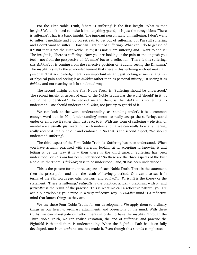For the First Noble Truth, 'There is suffering' is the first insight. What is that insight? We don't need to make it into anything grand; it is just the recognition: 'There is suffering'. That is a basic insight. The ignorant person says, 'I'm suffering. I don't want to suffer. I meditate and I go on retreats to get out of suffering, but I'm still suffering and I don't want to suffer... How can I get out of suffering? What can I do to get rid of it?' But that is not the First Noble Truth; it is not: 'I am suffering and I want to end it.' The insight is, 'There is suffering'. Now you are looking at the pain or the anguish you feel – not from the perspective of 'It's mine' but as a reflection: 'There is this suffering, this *dukkha*'. It is coming from the reflective position of 'Buddha seeing the Dhamma.' The insight is simply the acknowledgement that there is this suffering without making it personal. That acknowledgement is an important insight; just looking at mental anguish or physical pain and seeing it as *dukkha* rather than as personal misery-just seeing it as *dukkha* and not reacting to it in a habitual way.

The second insight of the First Noble Truth is: 'Suffering should be understood.' The second insight or aspect of each of the Noble Truths has the word 'should' in it: 'It should be understood.' The second insight then, is that *dukkha* is something to understand. One should understand *dukkha*, not just try to get rid of it.

We can look at the word 'understanding' as 'standing under'. It is a common enough word but, in Pàli, 'understanding' means to really accept the suffering, stand under or embrace it rather than just react to it. With any form of suffering – physical or mental – we usually just react, but with understanding we can really look at suffering; really accept it, really hold it and embrace it. So that is the second aspect, 'We should understand suffering'.

The third aspect of the First Noble Truth is: 'Suffering has been understood.' When you have actually practised with suffering looking at it, accepting it, knowing it and letting it be the way it is – then there is the third aspect, 'Suffering has been understood', or '*Dukkha* has been understood.' So these are the three aspects of the First Noble Truth: 'There is *dukkha*'; 'It is to be understood'; and, 'It has been understood.'

This is the pattern for the three aspects of each Noble Truth. There is the statement, then the prescription and then the result of having practised. One can also see it in terms of the Pàli words *pariyatti*, *pañipatti* and *pañivedha*. *Pariyatti* is the theory or the statement, 'There is suffering.' *Patipatti* is the practice, actually practising with it; and *pativedha* is the result of the practice. This is what we call a reflective pattern; you are actually developing your mind in a very reflective way. A *Buddha* mind is a reflective mind that knows things as they are.

We use these Four Noble Truths for our development. We apply them to ordinary things in our lives, to ordinary attachments and obsessions of the mind. With these truths, we can investigate our attachments in order to have the insights. Through the Third Noble Truth, we can realise cessation, the end of suffering, and practise the Eightfold Path until there is understanding. When the Eightfold Path has been fully developed, one is an *arahant*, one has made it. Even though this sounds complicated –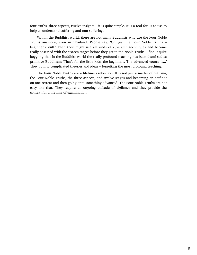four truths, three aspects, twelve insights – it is quite simple. It is a tool for us to use to help us understand suffering and non-suffering.

Within the Buddhist world, there are not many Buddhists who use the Four Noble Truths anymore, even in Thailand. People say, 'Oh yes, the Four Noble Truths – beginner's stuff.' Then they might use all kinds of *vipassanà* techniques and become really obsessed with the sixteen stages before they get to the Noble Truths. I find it quite boggling that in the Buddhist world the really profound teaching has been dismissed as primitive Buddhism: 'That's for the little kids, the beginners. The advanced course is...' They go into complicated theories and ideas – forgetting the most profound teaching.

The Four Noble Truths are a lifetime's reflection. It is not just a matter of realising the Four Noble Truths, the three aspects, and twelve stages and becoming an *arahant* on one retreat and then going onto something advanced. The Four Noble Truths are not easy like that. They require an ongoing attitude of vigilance and they provide the context for a lifetime of examination.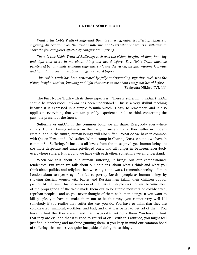#### **THE FIRST NOBLE TRUTH**

*What is the Noble Truth of Suffering? Birth is suffering, aging is suffering, sickness is suffering, dissociation from the loved is suffering, not to get what one wants is suffering: in short the five categories affected by clinging are suffering.* 

*There is this Noble Truth of Suffering: such was the vision, insight, wisdom, knowing and light that arose in me about things not heard before. This Noble Truth must be penetrated by fully understanding suffering: such was the vision, insight, wisdom, knowing and light that arose in me about things not heard before.* 

*This Noble Truth has been penetrated by fully understanding suffering: such was the vision, insight, wisdom, knowing and light that arose in me about things not heard before.* **[Saÿyutta Nikàya LVI, 11]** 

The First Noble Truth with its three aspects is: "There is suffering, *dukkha*. *Dukkha* should be understood. *Dukkha* has been understood." This is a very skillful teaching because it is expressed in a simple formula which is easy to remember, and it also applies to everything that you can possibly experience or do or think concerning the past, the present or the future.

Suffering or *dukkha* is the common bond we all share. Everybody everywhere suffers. Human beings suffered in the past, in ancient India; they suffer in modern Britain; and in the future, human beings will also suffer... What do we have in common with Queen Elizabeth? – We suffer. With a tramp in Charing Cross, what do we have in common? – Suffering. It includes all levels from the most privileged human beings to the most desperate and underprivileged ones, and all ranges in between. Everybody everywhere suffers. It is a bond we have with each other, something we all understand.

When we talk about our human suffering, it brings out our compassionate tendencies. But when we talk about our opinions, about what I think and what you think about politics and religion, then we can get into wars. I remember seeing a film in London about ten years ago. It tried to portray Russian people as human beings by showing Russian women with babies and Russian men taking their children out for picnics. At the time, this presentation of the Russian people was unusual because most of the propaganda of the West made them out to be titanic monsters or cold-hearted, reptilian people – and so you never thought of them as human beings. If you want to kill people, you have to make them out to be that way; you cannot very well kill somebody if you realise they suffer the way you do. You have to think that they are cold-hearted, immoral, worthless and bad, and that it is better to get rid of them. You have to think that they are evil and that it is good to get rid of them. You have to think that they are evil and that it is good to get rid of evil. With this attitude, you might feel justified in bombing and machine-gunning them. If you keep in mind our common bond of suffering, that makes you quite incapable of doing those things.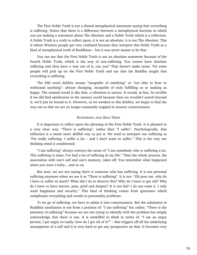The First Noble Truth is not a dismal metaphysical statement saying that everything is suffering. Notice that there is a difference between a metaphysical doctrine in which you are making a statement about The Absolute and a Noble Truth which is a reflection. A Noble Truth is a truth to reflect upon; it is not an absolute; it is not The Absolute. This is where Western people get very confused because they interpret this Noble Truth as a kind of metaphysical truth of Buddhism – but it was never meant to be that.

You can see that the First Noble Truth is not an absolute statement because of the Fourth Noble Truth, which is the way of non-suffering. You cannot have absolute suffering and then have a way out of it, can you? That doesn't make sense. Yet some people will pick up on the First Noble Truth and say that the Buddha taught that everything is suffering.

The Pàli word *dukkha* means "incapable of satisfying" or "not able to bear or withstand anything": always changing, incapable of truly fulfilling us or making us happy. The sensual world is like that, a vibration in nature. It would, in fact, be terrible if we did find satisfaction in the sensory world because then we wouldn't search beyond it; we'd just be bound to it. However, as we awaken to this *dukkha*, we begin to find the way out so that we are no longer constantly trapped in sensory consciousness.

# Suffering and Self-View

It is important to reflect upon the phrasing of the First Noble Truth. It is phrased in a very clear way: "There is suffering", rather than "I suffer". Psychologically, that reflection is a much more skillful way to put it. We tend to interpret our suffering as "I'm really suffering. I suffer a lot – and I don't want to suffer." This is the way our thinking mind is conditioned.

"I am suffering" always conveys the sense of "I am somebody who is suffering a lot. This suffering is mine; I've had a lot of suffering in my life." Then the whole process, the association with one's self and one's memory, takes off. You remember what happened when you were a baby... and so on.

But note, we are not saying there is someone who has suffering. It is not personal suffering anymore when we see it as "There is suffering". It is not: "Oh poor me, why do I have to suffer so much? What did I do to deserve this? Why do I have to get old? Why do I have to have sorrow, pain, grief and despair? It is not fair! I do not want it. I only want happiness and security." This kind of thinking comes from ignorance which complicates everything and results in personality problems.

To let go of suffering, we have to admit it into consciousness. But the admission in Buddhist meditation is not from a position of: "I am suffering" but rather, "There is the presence of suffering" because we are not trying to identify with the problem but simply acknowledge that there is one. It is unskillful to think in terms of: "I am an angry person; I get angry so easily; how do I get rid of it?" – that triggers off all the underlying assumptions of a self and it is very hard to get any perspective on that. It becomes very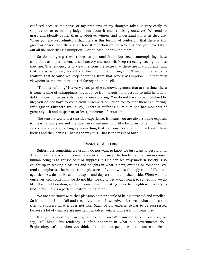confused because the sense of my problems or my thoughts takes us very easily to suppression or to making judgements about it and criticising ourselves. We tend to grasp and identify rather than to observe, witness and understand things as they are. When you are just admitting that there is this feeling of confusion, that there is this greed or anger, then there is an honest reflection on the way it is and you have taken out all the underlying assumptions – or at least undermined them.

So do not grasp these things as personal faults but keep contemplating these conditions as impermanent, unsatisfactory and non-self. Keep reflecting, seeing them as they are. The tendency is to view life from the sense that these are my problems, and that one is being very honest and forthright in admitting this. Then our life tends to reaffirm that because we keep operating from that wrong assumption. But that very viewpoint is impermanent, unsatisfactory and non-self.

"There is suffering" is a very clear, precise acknowledgement that at this time, there is some feeling of unhappiness. It can range from anguish and despair to mild irritation; *dukkha* does not necessarily mean severe suffering. You do not have to be brutalised by life; you do not have to come from Auschwitz or Belsen to say that there is suffering. Even Queen Elizabeth would say, "There is suffering." I'm sure she has moments of great anguish and despair or, at least, moments of irritation.

The sensory world is a sensitive experience. It means you are always being exposed to pleasure and pain and the dualism of *samsāra*. It is like being in something that is very vulnerable and picking up everything that happens to come in contact with these bodies and their senses. That is the way it is. That is the result of birth.

#### Denial of Suffering

Suffering is something we usually do not want to know-we just want to get rid of it. As soon as there is any inconvenience or annoyance, the tendency of an unawakened human being is to get rid of it or suppress it. One can see why modern society is so caught up in seeking pleasures and delights in what is new, exciting or romantic. We tend to emphasise the beauties and pleasures of youth whilst the ugly side of life – old age, sickness, death, boredom, despair and depression, are pushed aside. When we find ourselves with something we do not like, we try to get away from it to something we do like. If we feel boredom, we go to something interesting. If we feel frightened, we try to find safety. This is a perfectly natural thing to do.

We are associated with that pleasure/pain principle of being attracted and repelled. So if the mind is not full and receptive, then it is selective – it selects what it likes and tries to suppress what it does not like. Much of our experience has to be suppressed because a lot of what we are inevitably involved with is unpleasant in some way.

If anything unpleasant arises, we say, 'Run away!' If anyone gets in our way, we say, 'Kill him!' This tendency is often apparent in what our governments do... Frightening, isn't it, when you think of the kind of people who run our countries –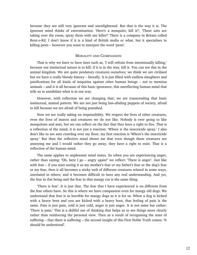because they are still very ignorant and unenlightened. But that is the way it is. The ignorant mind thinks of extermination: 'Here's a mosquito; kill it!', 'These ants are taking over the room; spray them with ant killer!' There is a company in Britain called Rent-o-Kil. I don't know if it is a kind of British mafia or what, but it specialises in killing pests – however you want to interpret the word 'pests'.

# Morality and Compassion

That is why we have to have laws such as, 'I will refrain from intentionally killing,' because our instinctual nature is to kill: if it is in the way, kill it. You can see this in the animal kingdom. We are quite predatory creatures ourselves; we think we are civilised but we have a really bloody history – literally. It is just filled with endless slaughters and justifications for all kinds of iniquities against other human beings – not to mention animals – and it is all because of this basic ignorance, this unreflecting human mind that tells us to annihilate what is in our way.

However, with reflection we are changing that; we are transcending that basic instinctual, animal pattern. We are not just being law-abiding puppets of society, afraid to kill because we are afraid of being punished.

Now we are really taking on responsibility. We respect the lives of other creatures, even the lives of insects and creatures we do not like. Nobody is ever going to like mosquitoes and ants, but we can reflect on the fact that they have a right to live. That is a reflection of the mind; it is not just a reaction: 'Where is the insecticide spray.' I also don't like to see ants crawling over my floor; my first reaction is 'Where's the insecticide spray.' But then the reflective mind shows me that even though these creatures are annoying me and I would rather they go away, they have a right to exist. That is a reflection of the human mind.

The same applies to unpleasant mind states. So when you are experiencing anger, rather than saying: 'Oh, here I go – angry again!' we reflect: 'There is anger'. Just like with fear – if you start seeing it as my mother's fear or my father's fear or the dog's fear or my fear, then it all becomes a sticky web of different creatures related in some ways, unrelated in others; and it becomes difficult to have any real understanding. And yet, the fear in this being and the fear in that mangy cur is the same thing.

'There is fear'. It is just that. The fear that I have experienced is no different from the fear others have. So this is where we have compassion even for mangy old dogs. We understand that fear is as horrible for mangy dogs as it is for us. When a dog is kicked with a heavy boot and you are kicked with a heavy boot, that feeling of pain is the same. Pain is just pain, cold is just cold, anger is just anger. It is not mine but rather: 'There is pain.' This is a skillful use of thinking that helps us to see things more clearly rather than reinforcing the personal view. Then as a result of recognising the state of suffering – that there is suffering – the second insight of this First Noble Truth comes: 'It should be understood'.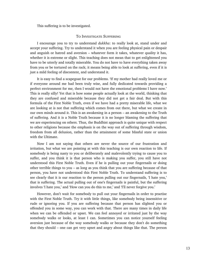This suffering is to be investigated.

#### To Investigate Suffering

I encourage you to try to understand *dukkha*: to really look at, stand under and accept your suffering. Try to understand it when you are feeling physical pain or despair and anguish or hatred and aversion – whatever form it takes, whatever quality it has, whether it is extreme or slight. This teaching does not mean that to get enlightened you have to be utterly and totally miserable. You do not have to have everything taken away from you or be tortured on the rack; it means being able to look at suffering, even if it is just a mild feeling of discontent, and understand it.

It is easy to find a scapegoat for our problems. 'If my mother had really loved me or if everyone around me had been truly wise, and fully dedicated towards providing a perfect environment for me, then I would not have the emotional problems I have now.' This is really silly! Yet that is how some people actually look at the world, thinking that they are confused and miserable because they did not get a fair deal. But with this formula of the First Noble Truth, even if we have had a pretty miserable life, what we are looking at is not that suffering which comes from out there, but what we create in our own minds around it. This is an awakening in a person – an awakening to the Truth of suffering. And it is a Noble Truth because it is no longer blaming the suffering that we are experiencing on others. Thus, the Buddhist approach is quite unique with respect to other religions because the emphasis is on the way out of suffering through wisdom, freedom from all delusion, rather than the attainment of some blissful state or union with the Ultimate.

Now I am not saying that others are never the source of our frustration and irritation, but what we are pointing at with this teaching is our own reaction to life. If somebody is being nasty to you or deliberately and malevolently trying to cause you to suffer, and you think it is that person who is making you suffer, you still have not understood this First Noble Truth. Even if he is pulling out your fingernails or doing other terrible things to you – as long as you think that you are suffering because of that person, you have not understood this First Noble Truth. To understand suffering is to see clearly that it is our reaction to the person pulling out our fingernails, 'I hate you,' that is suffering. The actual pulling out of one's fingernails is painful, but the suffering involves 'I hate you,' and 'How can you do this to me,' and 'I'll never forgive you.'

However, don't wait for somebody to pull out your fingernails in order to practise with the First Noble Truth. Try it with little things, like somebody being insensitive or rude or ignoring you. If you are suffering because that person has slighted you or offended you in some way, you can work with that. There are many times in daily life when we can be offended or upset. We can feel annoyed or irritated just by the way somebody walks or looks, at least I can. Sometimes you can notice yourself feeling aversion just because of the way somebody walks or because they don't do something that they should – one can get very upset and angry about things like that. The person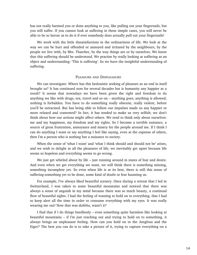has not really harmed you or done anything to you, like pulling out your fingernails, but you still suffer. If you cannot look at suffering in these simple cases, you will never be able to be so heroic as to do it if ever somebody does actually pull out your fingernails!

We work with the little dissatisfactions in the ordinariness of life. We look at the way we can be hurt and offended or annoyed and irritated by the neighbours, by the people we live with, by Mrs. Thatcher, by the way things are or by ourselves. We know that this suffering should be understood. We practise by really looking at suffering as an object and understanding: 'This is suffering'. So we have the insightful understanding of suffering.

# Pleasure and Displeasure

We can investigate: Where has this hedonistic seeking of pleasure as an end in itself brought us? It has continued now for several decades but is humanity any happier as a result? It seems that nowadays we have been given the right and freedom to do anything we like with drugs, sex, travel and so on – anything goes; anything is allowed; nothing is forbidden. You have to do something really obscene, really violent, before you'll be ostracised. But has being able to follow our impulses made us any happier or more relaxed and contented? In fact, it has tended to make us very selfish; we don't think about how our actions might affect others. We tend to think only about ourselves: me and my happiness, my freedom and my rights. So I become a terrible nuisance, a source of great frustration, annoyance and misery for the people around me. If I think I can do anything I want or say anything I feel like saying, even at the expense of others, then I'm a person who is nothing but a nuisance to society.

When the sense of 'what I want' and 'what I think should and should not be' arises, and we wish to delight in all the pleasures of life, we inevitably get upset because life seems so hopeless and everything seems to go wrong.

We just get whirled about by life – just running around in states of fear and desire. And even when we get everything we want, we will think there is something missing, something incomplete yet. So even when life is at its best, there is still this sense of suffering-something yet to be done, some kind of doubt or fear haunting us.

For example, I've always liked beautiful scenery. Once during a retreat that I led in Switzerland, I was taken to some beautiful mountains and noticed that there was always a sense of anguish in my mind because there was so much beauty, a continual flow of beautiful sights. I had the feeling of wanting to hold on to everything, that I had to keep alert all the time in order to consume everything with my eyes. It was really wearing me out! Now that was *dukkha*, wasn't it?

I find that if I do things heedlessly – even something quite harmless like looking at beautiful mountains – if I'm just reaching out and trying to hold on to something, it always brings an unpleasant feeling. How can you hold on to the Jungfrau and the Eiger? The best you can do is to take a picture of it, trying to capture everything on a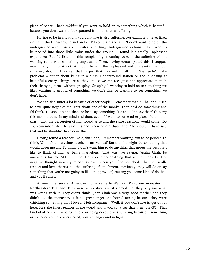piece of paper. That's *dukkha*; if you want to hold on to something which is beautiful because you don't want to be separated from it – that is suffering.

Having to be in situations you don't like is also suffering. For example, I never liked riding in the Underground in London. I'd complain about it: 'I don't want to go on the underground with those awful posters and dingy Underground stations. I don't want to be packed into those little trains under the ground.' I found it a totally unpleasant experience. But I'd listen to this complaining, moaning voice – the suffering of not wanting to be with something unpleasant. Then, having contemplated this, I stopped making anything of it so that I could be with the unpleasant and un-beautiful without suffering about it. I realised that it's just that way and it's all right. We needn't make problems – either about being in a dingy Underground station or about looking at beautiful scenery. Things are as they are, so we can recognise and appreciate them in their changing forms without grasping. Grasping is wanting to hold on to something we like; wanting to get rid of something we don't like; or wanting to get something we don't have.

We can also suffer a lot because of other people. I remember that in Thailand I used to have quite negative thoughts about one of the monks. Then he'd do something and I'd think, 'He shouldn't do that,' or he'd say something, 'He shouldn't say that!' I'd carry this monk around in my mind and then, even if I went to some other place, I'd think of that monk; the perception of him would arise and the same reactions would come: 'Do you remember when he said this and when he did that?' and: 'He shouldn't have said that and he shouldn't have done that.'

Having found a teacher like Ajahn Chah, I remember wanting him to be perfect. I'd think, 'Oh, he's a marvelous teacher – marvelous!' But then he might do something that would upset me and I'd think, 'I don't want him to do anything that upsets me because I like to think of him as being marvelous.' That was like saying, 'Ajahn Chah, be marvelous for me ALL the time. Don't ever do anything that will put any kind of negative thought into my mind.' So even when you find somebody that you really respect and love, there's still the suffering of attachment. Inevitably, they will do or say something that you're not going to like or approve of, causing you some kind of doubt – and you'll suffer.

At one time, several American monks came to Wat Pah Pong, our monastery in Northeastern Thailand. They were very critical and it seemed that they only saw what was wrong with it. They didn't think Ajahn Chah was a very good teacher and they didn't like the monastery. I felt a great anger and hatred arising because they were criticising something that I loved. I felt indignant – 'Well, if you don't like it, get out of here. He's the finest teacher in the world and if you can't see that then just GO!' That kind of attachment – being in love or being devoted – is suffering because if something or someone you love is criticised, you feel angry and indignant.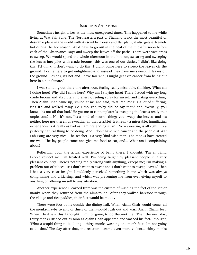# Insight in Situations

Sometimes insight arises at the most unexpected times. This happened to me while living at Wat Pah Pong. The Northeastern part of Thailand is not the most beautiful or desirable place in the world with its scrubby forests and flat plain; it also gets extremely hot during the hot season. We'd have to go out in the heat of the mid-afternoon before each of the Observance Days and sweep the leaves off the paths. There were vast areas to sweep. We would spend the whole afternoon in the hot sun, sweating and sweeping the leaves into piles with crude brooms; this was one of our duties. I didn't like doing this. I'd think, 'I don't want to do this. I didn't come here to sweep the leaves off the ground; I came here to get enlightened-and instead they have me sweeping leaves off the ground. Besides, it's hot and I have fair skin; I might get skin cancer from being out here in a hot climate.'

I was standing out there one afternoon, feeling really miserable, thinking, 'What am I doing here? Why did I come here? Why am I staying here? There I stood with my long crude broom and absolutely no energy, feeling sorry for myself and hating everything. Then Ajahn Chah came up, smiled at me and said, 'Wat Pah Pong is a lot of suffering, isn't it?' and walked away. So I thought, 'Why did he say that?' and, 'Actually, you know, it's not all that bad.' He got me to contemplate: Is sweeping the leaves really that unpleasant?... No, it's not. It's a kind of neutral thing; you sweep the leaves, and it's neither here nor there... Is sweating all that terrible? Is it really a miserable, humiliating experience? Is it really as bad as I am pretending it is?... No – sweating is all right, it's a perfectly natural thing to be doing. And I don't have skin cancer and the people at Wat Pah Pong are very nice. The teacher is a very kind wise man. The monks have treated me well. The lay people come and give me food to eat, and... What am I complaining about?'

Reflecting upon the actual experience of being there, I thought, 'I'm all right. People respect me, I'm treated well. I'm being taught by pleasant people in a very pleasant country. There's nothing really wrong with anything, except me; I'm making a problem out of it because I don't want to sweat and I don't want to sweep leaves.' Then I had a very clear insight. I suddenly perceived something in me which was always complaining and criticising, and which was preventing me from ever giving myself to anything or offering myself to any situation.

Another experience I learned from was the custom of washing the feet of the senior monks when they returned from the alms-round. After they walked barefoot through the village and rice paddies, their feet would be muddy.

There were foot baths outside the dining hall. When Ajahn Chah would come, all the monks-maybe twenty or thirty of them-would rush out and wash Ajahn Chah's feet. When I first saw this I thought, 'I'm not going to do that-not me!' Then the next day, thirty monks rushed out as soon as Ajahn Chah appeared and washed his feet-I thought, 'What a stupid thing to be doing – thirty monks washing one man's feet. I'm not going to do that.' The day after that, the reaction became even more violent... thirty monks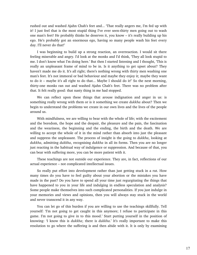rushed out and washed Ajahn Chah's feet and... 'That really angers me, I'm fed up with it! I just feel that is the most stupid thing I've ever seen-thirty men going out to wash one man's feet! He probably thinks he deserves it, you know – it's really building up his ego. He's probably got an enormous ego, having so many people wash his feet every day. I'll never do that!'

I was beginning to build up a strong reaction, an overreaction. I would sit there feeling miserable and angry. I'd look at the monks and I'd think, 'They all look stupid to me. I don't know what I'm doing here.' But then I started listening and I thought, 'This is really an unpleasant frame of mind to be in. Is it anything to get upset about? They haven't made me do it. It's all right; there's nothing wrong with thirty men washing one man's feet. It's not immoral or bad behaviour and maybe they enjoy it; maybe they want to do it – maybe it's all right to do that... Maybe I should do it!' So the next morning, thirty-one monks ran out and washed Ajahn Chah's feet. There was no problem after that. It felt really good: that nasty thing in me had stopped.

We can reflect upon these things that arouse indignation and anger in us: is something really wrong with them or is it something we create *dukkha* about? Then we begin to understand the problems we create in our own lives and the lives of the people around us.

With mindfulness, we are willing to bear with the whole of life; with the excitement and the boredom, the hope and the despair, the pleasure and the pain, the fascination and the weariness, the beginning and the ending, the birth and the death. We are willing to accept the whole of it in the mind rather than absorb into just the pleasant and suppress the unpleasant. The process of insight is the going to *dukkha*, looking at *dukkha*, admitting *dukkha*, recognising *dukkha* in all its forms. Then you are no longer just reacting in the habitual way of indulgence or suppression. And because of that, you can bear with suffering more, you can be more patient with it.

These teachings are not outside our experience. They are, in fact, reflections of our actual experience – not complicated intellectual issues.

So really put effort into development rather than just getting stuck in a rut. How many times do you have to feel guilty about your abortion or the mistakes you have made in the past? Do you have to spend all your time just regurgitating the things that have happened to you in your life and indulging in endless speculation and analysis? Some people make themselves into such complicated personalities. If you just indulge in your memories and views and opinions, then you will always stay stuck in the world and never transcend it in any way.

You can let go of this burden if you are willing to use the teachings skillfully. Tell yourself: 'I'm not going to get caught in this anymore; I refuse to participate in this game. I'm not going to give in to this mood.' Start putting yourself in the position of knowing: 'I know this is *dukkha*; there is *dukkha*.' It's really important to make this resolution to go where the suffering is and then abide with it. It is only by examining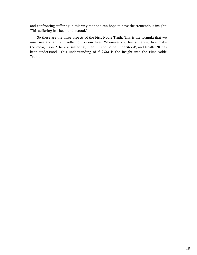and confronting suffering in this way that one can hope to have the tremendous insight: 'This suffering has been understood.'

So these are the three aspects of the First Noble Truth. This is the formula that we must use and apply in reflection on our lives. Whenever you feel suffering, first make the recognition: 'There is suffering', then: 'It should be understood', and finally: 'It has been understood'. This understanding of *dukkha* is the insight into the First Noble Truth.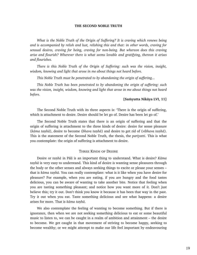#### **THE SECOND NOBLE TRUTH**

*What is the Noble Truth of the Origin of Suffering? It is craving which renews being and is accompanied by relish and lust, relishing this and that: in other words, craving for sensual desires, craving for being, craving for non-being. But whereon does this craving arise and flourish? Wherever there is what seems lovable and gratifying, thereon it arises and flourishes.* 

*There is this Noble Truth of the Origin of Suffering: such was the vision, insight, wisdom, knowing and light that arose in me about things not heard before.* 

*This Noble Truth must be penetrated to by abandoning the origin of suffering...* 

*This Noble Truth has been penetrated to by abandoning the origin of suffering: such was the vision, insight, wisdom, knowing and light that arose in me about things not heard before.*

# **[Saÿyutta Nikàya LVI, 11]**

The Second Noble Truth with its three aspects is: 'There is the origin of suffering, which is attachment to desire. Desire should be let go of. Desire has been let go of.'

The Second Noble Truth states that there is an origin of suffering and that the origin of suffering is attachment to the three kinds of desire: desire for sense pleasure (kāma tanhā), desire to become (bhava tanhā) and desire to get rid of (vibhava tanhā). This is the statement of the Second Noble Truth, the thesis, the *pariyatti*. This is what you contemplate: the origin of suffering is attachment to desire.

#### Three Kinds of Desire

Desire or *taõhà* in Pàli is an important thing to understand. What is desire? *Kàma tanhā* is very easy to understand. This kind of desire is wanting sense pleasures through the body or the other senses and always seeking things to excite or please your senses – that is *kāma taṇhā*. You can really contemplate: what is it like when you have desire for pleasure? For example, when you are eating, if you are hungry and the food tastes delicious, you can be aware of wanting to take another bite. Notice that feeling when you are tasting something pleasant; and notice how you want more of it. Don't just believe this; try it out. Don't think you know it because it has been that way in the past. Try it out when you eat. Taste something delicious and see what happens: a desire arises for more. That is kāma tanhā.

We also contemplate the feeling of wanting to become something. But if there is ignorance, then when we are not seeking something delicious to eat or some beautiful music to listen to, we can be caught in a realm of ambition and attainment – the desire to become. We get caught in that movement of striving to become happy, seeking to become wealthy; or we might attempt to make our life feel important by endeavouring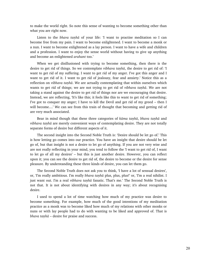to make the world right. So note this sense of wanting to become something other than what you are right now.

Listen to the *bhava tanhā* of your life: 'I want to practise meditation so I can become free from my pain. I want to become enlightened. I want to become a monk or a nun. I want to become enlightened as a lay person. I want to have a wife and children and a profession. I want to enjoy the sense world without having to give up anything and become an enlightened *arahant* too.'

When we get disillusioned with trying to become something, then there is the desire to get rid of things. So we contemplate *vibhava tanhā*, the desire to get rid of: 'I want to get rid of my suffering. I want to get rid of my anger. I've got this anger and I want to get rid of it. I want to get rid of jealousy, fear and anxiety.' Notice this as a reflection on *vibhava tanhā*. We are actually contemplating that within ourselves which wants to get rid of things; we are not trying to get rid of *vibhava tanhā*. We are not taking a stand against the desire to get rid of things nor are we encouraging that desire. Instead, we are reflecting, 'It's like this; it feels like this to want to get rid of something; I've got to conquer my anger; I have to kill the Devil and get rid of my greed – then I will become....' We can see from this train of thought that becoming and getting rid of are very much associated.

Bear in mind though that these three categories of *kāma taṇhā*, *bhava taṇhā* and *vibhava taõhà* are merely convenient ways of contemplating desire. They are not totally separate forms of desire but different aspects of it.

The second insight into the Second Noble Truth is: 'Desire should be let go of.' This is how letting go comes into our practice. You have an insight that desire should be let go of, but that insight is not a desire to let go of anything. If you are not very wise and are not really reflecting in your mind, you tend to follow the 'I want to get rid of, I want to let go of all my desires' – but this is just another desire. However, you can reflect upon it; you can see the desire to get rid of, the desire to become or the desire for sense pleasure. By understanding these three kinds of desire, you can let them go.

The Second Noble Truth does not ask you to think, 'I have a lot of sensual desires', or, 'I'm really ambitious. I'm really *bhava tanhā* plus, plus, plus!' or, 'I'm a real nihilist. I just want out. I'm a real *vibhava tanhā fanatic*. That's me.' The Second Noble Truth is not that. It is not about identifying with desires in any way; it's about recognising desire.

I used to spend a lot of time watching how much of my practice was desire to become something. For example, how much of the good intentions of my meditation practice as a monk was to become liked how much of my relations with other monks or nuns or with lay people had to do with wanting to be liked and approved of. That is *bhava tanhā* – desire for praise and success.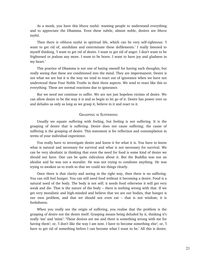As a monk, you have this *bhava tanhā*: wanting people to understand everything and to appreciate the Dhamma. Even these subtle, almost noble, desires are *bhava*  tanhā.

Then there is *vibhava tanhā* in spiritual life, which can be very self-righteous: 'I want to get rid of, annihilate and exterminate these defilements.' I really listened to myself thinking, 'I want to get rid of desire. I want to get rid of anger. I don't want to be frightened or jealous any more. I want to be brave. I want to have joy and gladness in my heart.'

This practice of Dhamma is not one of hating oneself for having such thoughts, but really seeing that these are conditioned into the mind. They are impermanent. Desire is not what we are but it is the way we tend to react out of ignorance when we have not understood these Four Noble Truths in their three aspects. We tend to react like this to everything. These are normal reactions due to ignorance.

But we need not continue to suffer. We are not just hopeless victims of desire. We can allow desire to be the way it is and so begin to let go of it. Desire has power over us and deludes us only as long as we grasp it, believe in it and react to it.

#### Grasping is Suffering

Usually we equate suffering with feeling, but feeling is not suffering. It is the grasping of desire that is suffering. Desire does not cause suffering; the cause of suffering is the grasping of desire. This statement is for reflection and contemplation in terms of your individual experience.

You really have to investigate desire and know it for what it is. You have to know what is natural and necessary for survival and what is not necessary for survival. We can be very idealistic in thinking that even the need for food is some kind of desire we should not have. One can be quite ridiculous about it. But the Buddha was not an idealist and he was not a moralist. He was not trying to condemn anything. He was trying to awaken us to truth so that we could see things clearly.

Once there is that clarity and seeing in the right way, then there is no suffering. You can still feel hunger. You can still need food without it becoming a desire. Food is a natural need of the body. The body is not self; it needs food otherwise it will get very weak and die. That is the nature of the body – there is nothing wrong with that. If we get very moralistic and high-minded and believe that we are our bodies, that hunger is our own problem, and that we should not even eat – that is not wisdom; it is foolishness.

When you really see the origin of suffering, you realise that the problem is the grasping of desire not the desire itself. Grasping means being deluded by it, thinking it's really 'me' and 'mine': 'These desires are me and there is something wrong with me for having them'; or, 'I don't like the way I am now. I have to become something else'; or, 'I have to get rid of something before I can become what I want to be.' All this is desire.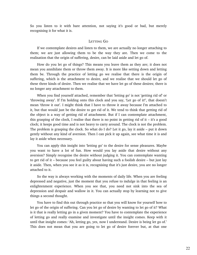So you listen to it with bare attention, not saying it's good or bad, but merely recognising it for what it is.

# LETTING GO

If we contemplate desires and listen to them, we are actually no longer attaching to them; we are just allowing them to be the way they are. Then we come to the realisation that the origin of suffering, desire, can be laid aside and let go of.

How do you let go of things? This means you leave them as they are; it does not mean you annihilate them or throw them away. It is more like setting down and letting them be. Through the practice of letting go we realise that there is the origin of suffering, which is the attachment to desire, and we realise that we should let go of these three kinds of desire. Then we realise that we have let go of these desires; there is no longer any attachment to them.

When you find yourself attached, remember that 'letting go' is not 'getting rid of' or 'throwing away'. If I'm holding onto this clock and you say, 'Let go of it!', that doesn't mean 'throw it out'. I might think that I have to throw it away because I'm attached to it, but that would just be the desire to get rid of it. We tend to think that getting rid of the object is a way of getting rid of attachment. But if I can contemplate attachment, this grasping of the clock, I realise that there is no point in getting rid of it  $-$  it's a good clock; it keeps good time and is not heavy to carry around. The clock is not the problem. The problem is grasping the clock. So what do I do? Let it go, lay it aside – put it down gently without any kind of aversion. Then I can pick it up again, see what time it is and lay it aside when necessary.

You can apply this insight into 'letting go' to the desire for sense pleasures. Maybe you want to have a lot of fun. How would you lay aside that desire without any aversion? Simply recognise the desire without judging it. You can contemplate wanting to get rid of it – because you feel guilty about having such a foolish desire – but just lay it aside. Then, when you see it as it is, recognising that it's just desire, you are no longer attached to it.

So the way is always working with the moments of daily life. When you are feeling depressed and negative, just the moment that you refuse to indulge in that feeling is an enlightenment experience. When you see that, you need not sink into the sea of depression and despair and wallow in it. You can actually stop by learning not to give things a second thought.

You have to find this out through practice so that you will know for yourself how to let go of the origin of suffering. Can you let go of desire by wanting to let go of it? What is it that is really letting go in a given moment? You have to contemplate the experience of letting go and really examine and investigate until the insight comes. Keep with it until that insight comes: 'Ah, letting go, yes, now I understand. Desire is being let go of.' This does not mean that you are going to let go of desire forever but, at that one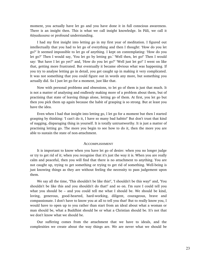moment, you actually have let go and you have done it in full conscious awareness. There is an insight then. This is what we call insight knowledge. In Pàli, we call it *¤àõadassana* or profound understanding.

I had my first insight into letting go in my first year of meditation. I figured out intellectually that you had to let go of everything and then I thought: 'How do you let go?' It seemed impossible to let go of anything. I kept on contemplating: 'How do you let go?' Then I would say, 'You let go by letting go.' 'Well then, let go!' Then I would say: 'But have I let go yet?' and, 'How do you let go?' 'Well just let go!' I went on like that, getting more frustrated. But eventually it became obvious what was happening. If you try to analyse letting go in detail, you get caught up in making it very complicated. It was not something that you could figure out in words any more, but something you actually did. So I just let go for a moment, just like that.

Now with personal problems and obsessions, to let go of them is just that much. It is not a matter of analysing and endlessly making more of a problem about them, but of practising that state of leaving things alone, letting go of them. At first, you let go but then you pick them up again because the habit of grasping is so strong. But at least you have the idea.

Even when I had that insight into letting go, I let go for a moment but then I started grasping by thinking: 'I can't do it, I have so many bad habits!' But don't trust that kind of nagging, disparaging thing in yourself. It is totally untrustworthy. It is just a matter of practising letting go. The more you begin to see how to do it, then the more you are able to sustain the state of non-attachment.

#### Accomplishment

It is important to know when you have let go of desire: when you no longer judge or try to get rid of it; when you recognise that it's just the way it is. When you are really calm and peaceful, then you will find that there is no attachment to anything. You are not caught up, trying to get something or trying to get rid of something. Well-being is just knowing things as they are without feeling the necessity to pass judgement upon them.

We say all the time, 'This shouldn't be like this!', 'I shouldn't be this way!' and, 'You shouldn't be like this and you shouldn't do that!' and so on. I'm sure I could tell you what you should be – and you could tell me what I should be. We should be kind, loving, generous, good-hearted, hard-working, diligent, courageous, brave and compassionate. I don't have to know you at all to tell you that! But to really know you, I would have to open up to you rather than start from an ideal about what a woman or man should be, what a Buddhist should be or what a Christian should be. It's not that we don't know what we should be.

Our suffering comes from the attachment that we have to ideals, and the complexities we create about the way things are. We are never what we should be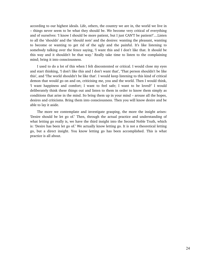according to our highest ideals. Life, others, the country we are in, the world we live in – things never seem to be what they should be. We become very critical of everything and of ourselves: 'I know I should be more patient, but I just CAN'T be patient!'....Listen to all the 'shoulds' and the 'should nots' and the desires: wanting the pleasant, wanting to become or wanting to get rid of the ugly and the painful. It's like listening to somebody talking over the fence saying, 'I want this and I don't like that. It should be this way and it shouldn't be that way.' Really take time to listen to the complaining mind; bring it into consciousness.

I used to do a lot of this when I felt discontented or critical. I would close my eyes and start thinking, 'I don't like this and I don't want that', 'That person shouldn't be like this', and 'The world shouldn't be like that'. I would keep listening to this kind of critical demon that would go on and on, criticising me, you and the world. Then I would think, 'I want happiness and comfort; I want to feel safe; I want to be loved!' I would deliberately think these things out and listen to them in order to know them simply as conditions that arise in the mind. So bring them up in your mind – arouse all the hopes, desires and criticisms. Bring them into consciousness. Then you will know desire and be able to lay it aside.

The more we contemplate and investigate grasping, the more the insight arises: 'Desire should be let go of.' Then, through the actual practice and understanding of what letting go really is, we have the third insight into the Second Noble Truth, which is: 'Desire has been let go of.' We actually know letting go. It is not a theoretical letting go, but a direct insight. You know letting go has been accomplished. This is what practice is all about.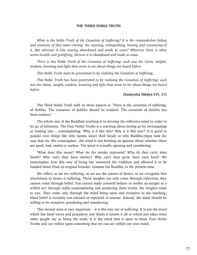#### **THE THIRD NOBLE TRUTH**

*What is the Noble Truth of the Cessation of Suffering? It is the remainderless fading and cessation of that same craving; the rejecting, relinquishing, leaving and renouncing of it. But whereon is this craving abandoned and made to cease? Wherever there is what seems lovable and gratifying, thereon it is abandoned and made to cease.* 

*There is this Noble Truth of the Cessation of Suffering: such was the vision, insight, wisdom, knowing and light that arose in me about things not heard before.* 

*This Noble Truth must be penetrated to by realising the Cessation of Suffering...* 

*This Noble Truth has been penetrated to by realising the Cessation of Suffering: such was the vision, insight, wisdom, knowing and light that arose in me about things not heard before.* 

#### **[Saÿyutta Nikàya LVI, 11]**

The Third Noble Truth with its three aspects is: 'There is the cessation of suffering, of *dukkha*. The cessation of *dukkha* should be realised. The cessation of *dukkha* has been realised.'

The whole aim of the Buddhist teaching is to develop the reflective mind in order to let go of delusions. The Four Noble Truths is a teaching about letting go by investigating or looking into – contemplating: 'Why is it like this? Why is it this way?' It is good to ponder over things like why monks shave their heads or why Buddha-råpas look the way they do. We contemplate...the mind is not forming an opinion about whether these are good, bad, useful or useless. The mind is actually opening and considering.

'What does this mean? What do the monks represent? Why do they carry alms bowls? Why can't they have money? Why can't they grow their own food? We contemplate how this way of living has sustained the tradition and allowed it to be handed down from its original founder, Gotama the Buddha, to the present time.

We reflect as we see suffering; as we see the nature of desire; as we recognise that attachment to desire is suffering. These insights can only come through reflection; they cannot come through belief. You cannot make yourself believe or realise an insight as a willful act; through really contemplating and pondering these truths, the insights come to you. They come only through the mind being open and receptive to the teachingblind belief is certainly not advised or expected of anyone. Instead, the mind should be willing to be receptive, pondering and considering.

This mental state is very important – it is the way out of suffering. It is not the mind which has fixed views and prejudices and thinks it knows it all or which just takes what other people say as being the truth. It is the mind that is open to these Four Noble Truths and can reflect upon something that we can see within our own mind.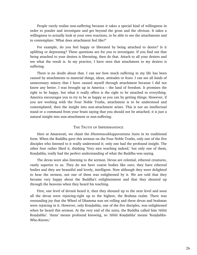People rarely realise non-suffering because it takes a special kind of willingness in order to ponder and investigate and get beyond the gross and the obvious. It takes a willingness to actually look at your own reactions, to be able to see the attachments and to contemplate: 'What does attachment feel like?'

For example, do you feel happy or liberated by being attached to desire? Is it uplifting or depressing? These questions are for you to investigate. If you find out that being attached to your desires is liberating, then do that. Attach to all your desires and see what the result is. In my practice, I have seen that attachment to my desires is suffering.

There is no doubt about that. I can see how much suffering in my life has been caused by attachments to material things, ideas, attitudes or fears. I can see all kinds of unnecessary misery that I have caused myself through attachment because I did not know any better. I was brought up in America – the land of freedom. It promises the right to be happy, but what it really offers is the right to be attached to everything. America encourages you to try to be as happy as you can by getting things. However, if you are working with the Four Noble Truths, attachment is to be understood and contemplated; then the insight into non-attachment arises. This is not an intellectual stand or a command from your brain saying that you should not be attached; it is just a natural insight into non-attachment or non-suffering.

# THE TRUTH OF IMPERMANENCE

Here at Amaravati, we chant the *Dhammacakkappavattana Sutta* in its traditional form. When the Buddha gave this sermon on the Four Noble Truths, only one of the five disciples who listened to it really understood it; only one had the profound insight. The other four rather liked it, thinking 'Very nice teaching indeed,' but only one of them, Kondañña, really had the perfect understanding of what the Buddha was saying.

The devas were also listening to the sermon. Devas are celestial, ethereal creatures, vastly superior to us. They do not have coarse bodies like ours; they have ethereal bodies and they are beautiful and lovely, intelligent. Now although they were delighted to hear the sermon, not one of them was enlightened by it. We are told that they became very happy about the Buddha's enlightenment and that they shouted up through the heavens when they heard his teaching.

First, one level of devatà heard it, then they shouted up to the next level and soon all the devas were rejoicing-right up to the highest, the Brahma realm. There was resounding joy that the Wheel of Dhamma was set rolling and these devas and brahmas were rejoicing in it. However, only Kondañña, one of the five disciples, was enlightened when he heard this sermon. At the very end of the sutta, the Buddha called him '*Aññā* Kondañña'. 'Anna' means profound knowing, so '*Aññā* Koṇḍañña' means 'Koṇḍañña-Who-Knows.'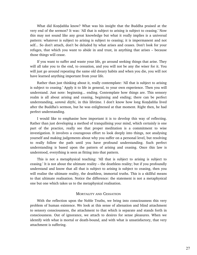What did Kondañña know? What was his insight that the Buddha praised at the very end of the sermon? It was: 'All that is subject to arising is subject to ceasing.' Now this may not sound like any great knowledge but what it really implies is a universal pattern: whatever is subject to arising is subject to ceasing; it is impermanent and not self... So don't attach, don't be deluded by what arises and ceases. Don't look for your refuges, that which you want to abide in and trust, in anything that arises – because those things will cease.

If you want to suffer and waste your life, go around seeking things that arise. They will all take you to the end, to cessation, and you will not be any the wiser for it. You will just go around repeating the same old dreary habits and when you die, you will not have learned anything important from your life.

Rather than just thinking about it, really contemplate: 'All that is subject to arising is subject to ceasing.' Apply it to life in general, to your own experience. Then you will understand. Just note: beginning... ending. Contemplate how things are. This sensory realm is all about arising and ceasing, beginning and ending; there can be perfect understanding, *sammā diṭṭhi*, in this lifetime. I don't know how long Koṇḍañña lived after the Buddha's sermon, but he was enlightened at that moment. Right then, he had perfect understanding.

I would like to emphasise how important it is to develop this way of reflecting. Rather than just developing a method of tranquilising your mind, which certainly is one part of the practice, really see that proper meditation is a commitment to wise investigation. It involves a courageous effort to look deeply into things, not analysing yourself and making judgements about why you suffer on a personal level, but resolving to really follow the path until you have profound understanding. Such perfect understanding is based upon the pattern of arising and ceasing. Once this law is understood, everything is seen as fitting into that pattern.

This is not a metaphysical teaching: 'All that is subject to arising is subject to ceasing.' It is not about the ultimate reality – the deathless reality; but if you profoundly understand and know that all that is subject to arising is subject to ceasing, then you will realise the ultimate reality, the deathless, immortal truths. This is a skillful means to that ultimate realisation. Notice the difference: the statement is not a metaphysical one but one which takes us to the metaphysical realisation.

#### Mortality and Cessation

With the reflection upon the Noble Truths, we bring into consciousness this very problem of human existence. We look at this sense of alienation and blind attachment to sensory consciousness, the attachment to that which is separate and stands forth in consciousness. Out of ignorance, we attach to desires for sense pleasures. When we identify with what is mortal or death-bound, and with what is unsatisfactory, that very attachment is suffering.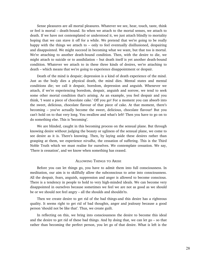Sense pleasures are all mortal pleasures. Whatever we see, hear, touch, taste, think or feel is mortal – death-bound. So when we attach to the mortal senses, we attach to death. If we have not contemplated or understood it, we just attach blindly to mortality hoping that we can stave it off for a while. We pretend that we're going to be really happy with the things we attach to – only to feel eventually disillusioned, despairing and disappointed. We might succeed in becoming what we want, but that too is mortal. We're attaching to another death-bound condition. Then, with the desire to die, we might attach to suicide or to annihilation – but death itself is yet another death-bound condition. Whatever we attach to in these three kinds of desires, we're attaching to death – which means that we're going to experience disappointment or despair.

Death of the mind is despair; depression is a kind of death experience of the mind. Just as the body dies a physical death, the mind dies. Mental states and mental conditions die; we call it despair, boredom, depression and anguish. Whenever we attach, if we're experiencing boredom, despair, anguish and sorrow, we tend to seek some other mortal condition that's arising. As an example, you feel despair and you think, 'I want a piece of chocolate cake.' Off you go! For a moment you can absorb into the sweet, delicious, chocolate flavour of that piece of cake. At that moment, there's becoming – you've actually become the sweet, delicious, chocolate flavour! But you can't hold on to that very long. You swallow and what's left! Then you have to go on to do something else. This is 'becoming'.

We are blinded, caught in this becoming process on the sensual plane. But through knowing desire without judging the beauty or ugliness of the sensual plane, we come to see desire as it is. There's knowing. Then, by laying aside these desires rather than grasping at them, we experience *nirodha*, the cessation of suffering. This is the Third Noble Truth which we must realise for ourselves. We contemplate cessation. We say, 'There is cessation', and we know when something has ceased.

# Allowing Things to Arise

Before you can let things go, you have to admit them into full consciousness. In meditation, our aim is to skillfully allow the subconscious to arise into consciousness. All the despair, fears, anguish, suppression and anger is allowed to become conscious. There is a tendency in people to hold to very high-minded ideals. We can become very disappointed in ourselves because sometimes we feel we are not as good as we should be or we should not feel angry – all the shoulds and shouldn'ts.

Then we create desire to get rid of the bad things-and this desire has a righteous quality. It seems right to get rid of bad thoughts, anger and jealousy because a good person 'should not be like that'. Thus, we create guilt.

In reflecting on this, we bring into consciousness the desire to become this ideal and the desire to get rid of these bad things. And by doing that, we can let go – so that rather than becoming the perfect person, you let go of that desire. What is left is the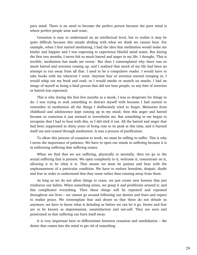pure mind. There is no need to become the perfect person because the pure mind is where perfect people arise and cease.

Cessation is easy to understand on an intellectual level, but to realise it may be quite difficult because this entails abiding with what we think we cannot bear. For example, when I first started meditating, I had the idea that meditation would make me kinder and happier and I was expecting to experience blissful mind states. But during the first two months, I never felt so much hatred and anger in my life. I thought, 'This is terrible; meditation has made me worse.' But then I contemplated why there was so much hatred and aversion coming up, and I realised that much of my life had been an attempt to run away from all that. I used to be a compulsive reader. I would have to take books with me wherever I went. Anytime fear or aversion started creeping in, I would whip out my book and read; or I would smoke or munch on snacks. I had an image of myself as being a kind person that did not hate people, so any hint of aversion or hatred was repressed.

This is why during the first few months as a monk, I was so desperate for things to do. I was trying to seek something to distract myself with because I had started to remember in meditation all the things I deliberately tried to forget. Memories from childhood and adolescence kept coming up in my mind; then this anger and hatred became so conscious it just seemed to overwhelm me. But something in me began to recognise that I had to bear with this, so I did stick it out. All the hatred and anger that had been suppressed in thirty years of living rose to its peak at this time, and it burned itself out and ceased through meditation. It was a process of purification.

To allow this process of cessation to work, we must be willing to suffer. This is why I stress the importance of patience. We have to open our minds to suffering because it is in embracing suffering that suffering ceases.

When we find that we are suffering, physically or mentally, then we go to the actual suffering that is present. We open completely to it, welcome it, concentrate on it, allowing it to be what it is. That means we must be patient and bear with the unpleasantness of a particular condition. We have to endure boredom, despair, doubt and fear in order to understand that they cease rather than running away from them.

As long as we do not allow things to cease, we just create new *kamma* that just reinforces our habits. When something arises, we grasp it and proliferate around it; and this complicates everything. Then these things will be repeated and repeated throughout our lives – we cannot go around following our desires and fears and expect to realise peace. We contemplate fear and desire so that these do not delude us anymore; we have to know what is deluding us before we can let it go. Desire and fear are to be known as impermanent, unsatisfactory and not-self. They are seen and penetrated so that suffering can burn itself away.

It is very important here to differentiate between cessation and annihilation – the desire that comes into the mind to get rid of something.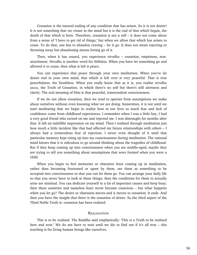Cessation is the natural ending of any condition that has arisen. So it is not desire! It is not something that we create in the mind but it is the end of that which began, the death of that which is born. Therefore, cessation is not a self – it does not come about from a sense of 'I have to get rid of things,' but when we allow that which has arisen to cease. To do that, one has to abandon craving – let it go. It does not mean rejecting or throwing away but abandoning means letting go of it.

Then, when it has ceased, you experience *nirodha* – cessation, emptiness, nonattachment. *Nirodha* is another word for *Nibbàna*. When you have let something go and allowed it to cease, then what is left is peace.

You can experience that peace through your own meditation. When you've let desire end in your own mind, that which is left over is very peaceful. That is true peacefulness, the Deathless. When you really know that as it is, you realise *nirodha sacca*, the Truth of Cessation, in which there's no self but there's still alertness and clarity. The real meaning of bliss is that peaceful, transcendent consciousness.

If we do not allow cessation, then we tend to operate from assumptions we make about ourselves without even knowing what we are doing. Sometimes, it is not until we start meditating that we begin to realise how in our lives so much fear and lack of confidence come from childhood experiences. I remember when I was a little boy, I had a very good friend who turned on me and rejected me. I was distraught for months after that. It left an indelible impression on my mind. Then I realised through meditation just how much a little incident like that had affected my future relationships with others – I always had a tremendous fear of rejection. I never even thought of it until that particular memory kept rising up into my consciousness during meditation. The rational mind knows that it is ridiculous to go around thinking about the tragedies of childhood. But if they keep coming up into consciousness when you are middle-aged, maybe they are trying to tell you something about assumptions that were formed when you were a child.

When you begin to feel memories or obsessive fears coming up in meditation, rather than becoming frustrated or upset by them, see them as something to be accepted into consciousness so that you can let them go. You can arrange your daily life so that you never have to look at these things; then the conditions for them to actually arise are minimal. You can dedicate yourself to a lot of important causes and keep busy; then these anxieties and nameless fears never become conscious – but what happens when you let go? The desire or obsession moves-and it moves to cessation. It ends. And then you have the insight that there is the cessation of desire. So the third aspect of the Third Noble Truth is: cessation has been realised.

# **REALISATION**

This is to be realised. The Buddha said emphatically: 'This is a Truth to be realised here and now.' We do not have to wait until we die to find out if it's all true – this teaching is for living human beings like ourselves.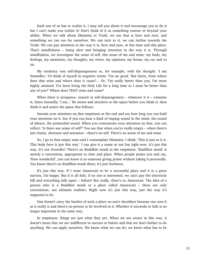Each one of us has to realise it. I may tell you about it and encourage you to do it but I can't make you realise it! Don't think of it as something remote or beyond your ability. When we talk about Dhamma or Truth, we say that is here and now, and something we can see for ourselves. We can turn to it; we can incline towards the Truth. We can pay attention to the way it is, here and now, at this time and this place. That's mindfulness – being alert and bringing attention to the way it is. Through mindfulness, we investigate the sense of self, this sense of me and mine: my body, my feelings, my memories, my thoughts, my views, my opinions, my house, my car and so on.

My tendency was self-disparagement so, for example, with the thought: 'I am Sumedho,' I'd think of myself in negative terms: 'I'm no good.' But listen, from where does that arise and where does it cease?... Or, 'I'm really better than you, I'm more highly attained. I've been living the Holy Life for a long time so I must be better than any of you?' Where does THAT arise and cease?

When there is arrogance, conceit or self-disparagement – whatever it is – examine it; listen inwardly; 'I am...' Be aware and attentive to the space before you think it; then think it and notice the space that follows.

Sustain your attention on that emptiness at the end and see how long you can hold your attention on it. See if you can hear a kind of ringing sound in the mind, the sound of silence, the primordial sound. When you concentrate your attention on that, you can reflect: 'Is there any sense of self?' You see that when you're really empty – when there's just clarity, alertness and attention – there's no self. There's no sense of me and mine.

So, I go to that empty state and I contemplate Dhamma: I think, 'This is just as it is. This body here is just this way.' I can give it a name or not but right now, it's just this way. It's not *Sumedho*! There's no Buddhist monk in the emptiness. 'Buddhist monk' is merely a convention, appropriate to time and place. When people praise you and say, 'How wonderful', you can know it as someone giving praise without taking it personally. You know there's no Buddhist monk there; it's just Suchness.

It's just this way. If I want Amaravati to be a successful place and it is a great success, I'm happy. But if it all fails, if no one is interested, we can't pay the electricity bill and everything falls apart – failure! But really, there's *no* Amaravati. The idea of a person who is a Buddhist monk or a place called Amaravati – these are only conventions, not ultimate realities. Right now it's just this way, just the way it's supposed to be.

One doesn't carry the burden of such a place on one's shoulders because one sees it as it really is and there's no person to be involved in it. Whether it succeeds or fails is no longer important in the same way.

In emptiness, things are just what they are. When we are aware in this way, it doesn't mean that we are indifferent to success or failure and that we don't bother to do anything. We can apply ourselves. We know what we can do; we know what has to be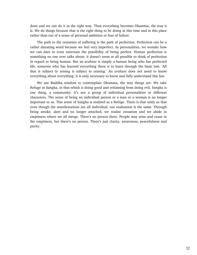done and we can do it in the right way. Then everything becomes Dhamma, the way it is. We do things because that is the right thing to be doing at this time and in this place rather than out of a sense of personal ambition or fear of failure.

The path to the cessation of suffering is the path of perfection. Perfection can be a rather daunting word because we feel very imperfect. As personalities, we wonder how we can dare to even entertain the possibility of being perfect. Human perfection is something no one ever talks about; it doesn't seem at all possible to think of perfection in regard to being human. But an *arahant* is simply a human being who has perfected life, someone who has learned everything there is to learn through the basic law: 'All that is subject to arising is subject to ceasing.' An *arahant* does not need to know everything about everything; it is only necessary to know and fully understand this law.

We use Buddha wisdom to contemplate Dhamma, the way things are. We take Refuge in Sangha, in that which is doing good and refraining from doing evil. Sangha is one thing, a community. It's not a group of individual personalities or different characters. The sense of being an individual person or a man or a woman is no longer important to us. This sense of Saṅgha is realised as a Refuge. There is that unity so that even though the manifestations are all individual, our realisation is the same. Through being awake, alert and no longer attached, we realise cessation and we abide in emptiness where we all merge. There's no person there. People may arise and cease in the emptiness, but there's no person. There's just clarity, awareness, peacefulness and purity.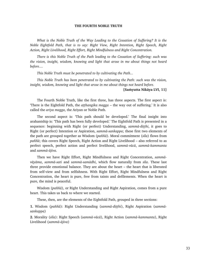#### **THE FOURTH NOBLE TRUTH**

*What is the Noble Truth of the Way Leading to the Cessation of Suffering? It is the Noble Eightfold Path, that is to say: Right View, Right Intention, Right Speech, Right Action, Right Livelihood, Right Effort, Right Mindfulness and Right Concentration.* 

*There is this Noble Truth of the Path leading to the Cessation of Suffering: such was the vision, insight, wisdom, knowing and light that arose in me about things not heard before....* 

*This Noble Truth must be penetrated to by cultivating the Path...* 

*This Noble Truth has been penetrated to by cultivating the Path: such was the vision, insight, wisdom, knowing and light that arose in me about things not heard before.* 

#### **[Saÿyutta Nikàya LVI, 11]**

The Fourth Noble Truth, like the first three, has three aspects. The first aspect is: 'There is the Eightfold Path, the *atthangika magga* – the way out of suffering.' It is also called the *ariya magga*, the Ariyan or Noble Path.

The second aspect is: 'This path should be developed.' The final insight into arahantship is: 'This path has been fully developed.' The Eightfold Path is presented in a sequence: beginning with Right (or perfect) Understanding, *sammā-ditthi*, it goes to Right (or perfect) Intention or Aspiration, *sammà-sankappa*; these first two elements of the path are grouped together as Wisdom (*pa¤¤à*). Moral commitment (*sãla*) flows from *pa¤¤à*; this covers Right Speech, Right Action and Right Livelihood – also referred to as perfect speech, perfect action and perfect livelihood, *sammà-vàcà*, *sammà-kammanta* and *sammà-àjiva*.

Then we have Right Effort, Right Mindfulness and Right Concentration, *sammàvàyàma*, *sammà-sati* and *sammà-samàdhi*, which flow naturally from *sãla*. These last three provide emotional balance. They are about the heart – the heart that is liberated from self-view and from selfishness. With Right Effort, Right Mindfulness and Right Concentration, the heart is pure, free from taints and defilements. When the heart is pure, the mind is peaceful.

Wisdom (paññā), or Right Understanding and Right Aspiration, comes from a pure heart. This takes us back to where we started.

These, then, are the elements of the Eightfold Path, grouped in three sections:

1. Wisdom (paññā): Right Understanding (sammā-ditthi), Right Aspiration (sammā*sankappa*)

**2.** Morality (*sãla*): Right Speech (*sammà-vàcà*), Right Action (*sammà-kammanta*), Right Livelihood (*sammà-àjiva*)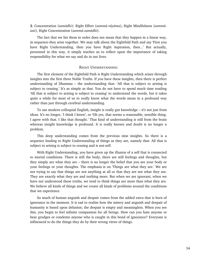**3.** Concentration (*samàdhi*): Right Effort (*sammà-vàyàma*), Right Mindfulness (*sammàsati*), Right Concentration (*sammà-samàdhi*).

The fact that we list them in order does not mean that they happen in a linear way, in sequence-they arise together. We may talk about the Eightfold Path and say 'First you have Right Understanding, then you have Right Aspiration, then...' But actually, presented in this way, it simply teaches us to reflect upon the importance of taking responsibility for what we say and do in our lives.

# Right Understanding

The first element of the Eightfold Path is Right Understanding which arises through insights into the first three Noble Truths. If you have these insights, then there is perfect understanding of Dhamma – the understanding that: 'All that is subject to arising is subject to ceasing.' It's as simple as that. You do not have to spend much time reading 'All that is subject to arising is subject to ceasing' to understand the words, but it takes quite a while for most of us to really know what the words mean in a profound way rather than just through cerebral understanding.

To use modern colloquial English, insight is really gut knowledge – it's not just from ideas. It's no longer, 'I think I know', or 'Oh yes, that seems a reasonable, sensible thing. I agree with that. I like that thought.' That kind of understanding is still from the brain whereas insight knowledge is profound. It is really known and doubt is no longer a problem.

This deep understanding comes from the previous nine insights. So there is a sequence leading to Right Understanding of things as they are, namely that: All that is subject to arising is subject to ceasing and is not-self.

With Right Understanding, you have given up the illusion of a self that is connected to mortal conditions. There is still the body, there are still feelings and thoughts, but they simply are what they are – there is no longer the belief that you are your body or your feelings or your thoughts. The emphasis is on 'Things are what they are.' We are not trying to say that things are not anything at all or that they are not what they are. They are exactly what they are and nothing more. But when we are ignorant, when we have not understood these truths, we tend to think things are more than what they are. We believe all kinds of things and we create all kinds of problems around the conditions that we experience.

So much of human anguish and despair comes from the added extra that is born of ignorance in the moment. It is sad to realise how the misery and anguish and despair of humanity is based upon delusion; the despair is empty and meaningless. When you see this, you begin to feel infinite compassion for all beings. How can you hate anyone or bear grudges or condemn anyone who is caught in this bond of ignorance? Everyone is influenced to do the things they do by their wrong views of things.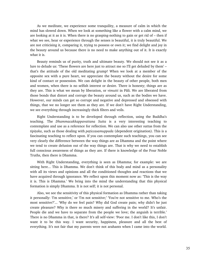As we meditate, we experience some tranquility, a measure of calm in which the mind has slowed down. When we look at something like a flower with a calm mind, we are looking at it as it is. When there is no grasping-nothing to gain or get rid of – then if what we see, hear or experience through the senses is beautiful, it is truly beautiful. We are not criticising it, comparing it, trying to possess or own it; we find delight and joy in the beauty around us because there is no need to make anything out of it. It is exactly what it is.

Beauty reminds us of purity, truth and ultimate beauty. We should not see it as a lure to delude us: 'These flowers are here just to attract me so I'll get deluded by them' – that's the attitude of the old meditating grump! When we look at a member of the opposite sex with a pure heart, we appreciate the beauty without the desire for some kind of contact or possession. We can delight in the beauty of other people, both men and women, when there is no selfish interest or desire. There is honesty; things are as they are. This is what we mean by liberation, or *vimutti* in Pàli. We are liberated from those bonds that distort and corrupt the beauty around us, such as the bodies we have. However, our minds can get so corrupt and negative and depressed and obsessed with things, that we no longer see them as they are. If we don't have Right Understanding, we see everything through increasingly thick filters and veils.

Right Understanding is to be developed through reflection, using the Buddha's teaching. The *Dhammacakkappavattana Sutta* is a very interesting teaching to contemplate and use as a reference for reflection. We can also use other suttas from the *tipitaka*, such as those dealing with *paticcasamuppada* (dependent origination). This is a fascinating teaching to reflect upon. If you can contemplate such teachings, you can see very clearly the difference between the way things are as Dhamma and the point where we tend to create delusion out of the way things are. That is why we need to establish full conscious awareness of things as they are. If there is knowledge of the Four Noble Truths, then there is Dhamma.

With Right Understanding, everything is seen as Dhamma; for example: we are sitting here... This is Dhamma. We don't think of this body and mind as a personality with all its views and opinions and all the conditioned thoughts and reactions that we have acquired through ignorance. We reflect upon this moment now as: 'This is the way it is. This is Dhamma.' We bring into the mind the understanding that this physical formation is simply Dhamma. It is not self; it is not personal.

Also, we see the sensitivity of this physical formation as Dhamma rather than taking it personally: 'I'm sensitive,' or 'I'm not sensitive;' 'You're not sensitive to me. Who's the most sensitive?'... 'Why do we feel pain? Why did God create pain; why didn't he just create pleasure? Why is there so much misery and suffering in the world? It's unfair. People die and we have to separate from the people we love; the anguish is terrible.' There is no Dhamma in that, is there? It's all self-view: 'Poor me. I don't like this, I don't want it to be this way. I want security, happiness, pleasure and all the best of everything. It's not fair that my parents were not arahants when I came into the world.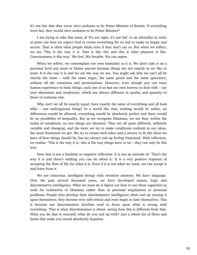It's not fair that they never elect arahants to be Prime Minister of Britain. If everything were fair, they would elect arahants to be Prime Minister!'

I am trying to take this sense of 'It's not right, it's not fair' to an absurdity in order to point out how we expect God to create everything for us and to make us happy and secure. That is often what people think even if they don't say so. But when we reflect, we see 'This is the way it is. Pain is like this and this is what pleasure is like. Consciousness is this way.' We feel. We breathe. We can aspire.

When we reflect, we contemplate our own humanity as it is. We don't take it on a personal level any more or blame anyone because things are not exactly as we like or want. It is the way it is and we are the way we are. You might ask why we can't all be exactly the same – with the same anger, the same greed and the same ignorance; without all the variations and permutations. However, even though you can trace human experience to basic things, each one of us has our own *kamma* to deal with – our own obsessions and tendencies, which are always different in quality and quantity to those of someone else.

Why can't we all be exactly equal, have exactly the same of everything and all look alike – one androgynous being? In a world like that, nothing would be unfair, no differences would be allowed, everything would be absolutely perfect and there would be no possibility of inequality. But as we recognise Dhamma, we see that, within the realm of conditions, no two things are identical. They are all quite different, infinitely variable and changing, and the more we try to make conditions conform to our ideas, the more frustrated we get. We try to create each other and a society to fit the ideas we have of how things should be, but we always end up feeling frustrated. With reflection, we realise: 'This is the way it is,' this is the way things have to be  $-$  they can only be this way.

Now that is not a fatalistic or negative reflection. It is not an attitude of: 'That's the way it is and there's nothing you can do about it.' It is a very positive response of accepting the flow of life for what it is. Even if it is not what we want, we can accept it and learn from it.

We are conscious, intelligent beings with retentive memory. We have language. Over the past several thousand years, we have developed reason, logic and discriminative intelligence. What we must do is figure out how to use these capacities as tools for realisation of Dhamma rather than as personal acquisitions or personal problems. People who develop their discriminative intelligence often end up turning it upon themselves; they become very self-critical and even begin to hate themselves. This is because our discriminative faculties tend to focus upon what is wrong with everything. That is what discrimination is about: seeing how this is different from that. What you do that to yourself, what do you end up with? Just a whole list of flaws and faults that make you sound absolutely hopeless.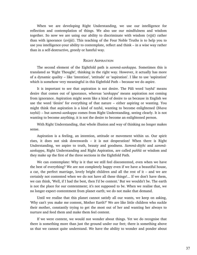When we are developing Right Understanding, we use our intelligence for reflection and contemplation of things. We also use our mindfulness and wisdom together. So now we are using our ability to discriminate with wisdom (*vijjà*) rather than with ignorance (*avijjà*). This teaching of the Four Noble Truths is to help you to use you intelligence-your ability to contemplate, reflect and think – in a wise way rather than in a self-destructive, greedy or hateful way.

# Right Aspiration

The second element of the Eightfold path is *sammà-sankappa*. Sometimes this is translated as 'Right Thought', thinking in the right way. However, it actually has more of a dynamic quality – like 'intention', 'attitude' or 'aspiration'. I like to use 'aspiration' which is somehow very meaningful in this Eightfold Path – because we do aspire.

It is important to see that aspiration is not desire. The Pāli word 'tanha' means desire that comes out of ignorance, whereas '*sankappa*' means aspiration not coming from ignorance. Aspiration might seem like a kind of desire to us because in English we use the word 'desire' for everything of that nature – either aspiring or wanting. You might think that aspiration is a kind of *tanhā*, wanting to become enlightened (*bhava tanhā*) – but *sammā-sankappa* comes from Right Understanding, seeing clearly. It is not wanting to become anything; it is not the desire to become an enlightened person.

With Right Understanding, that whole illusion and way of thinking no longer makes sense.

Aspiration is a feeling, an intention, attitude or movement within us. Our spirit rises, it does not sink downwards – it is not desperation! When there is Right Understanding, we aspire to truth, beauty and goodness. *Sammā-ditthi* and *samm*ā*sankappa*, Right Understanding and Right Aspiration, are called *paññā* or wisdom and they make up the first of the three sections in the Eightfold Path.

We can contemplate: Why is it that we still feel discontented, even when we have the best of everything? We are not completely happy even if we have a beautiful house, a car, the perfect marriage, lovely bright children and all the rest of it – and we are certainly not contented when we do not have all these things!... If we don't have them, we can think, 'Well, if I had the best, then I'd be content.' But we wouldn't be. The earth is not the place for our contentment; it's not supposed to be. When we realise that, we no longer expect contentment from planet earth; we do not make that demand.

Until we realise that this planet cannot satisfy all our wants, we keep on asking, 'Why can't you make me content, Mother Earth?' We are like little children who suckle their mother, constantly trying to get the most out of her and wanting her always to nurture and feed them and make them feel content.

If we were content, we would not wonder about things. Yet we do recognise that there is something more than just the ground under our feet; there is something above us that we cannot quite understand. We have the ability to wonder and ponder about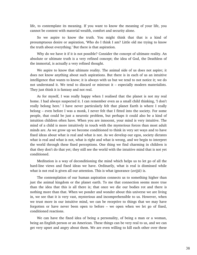life, to contemplate its meaning. If you want to know the meaning of your life, you cannot be content with material wealth, comfort and security alone.

So we aspire to know the truth. You might think that that is a kind of presumptuous desire or aspiration, 'Who do I think I am? Little old me trying to know the truth about everything.' But there is that aspiration.

Why do we have it if it is not possible? Consider the concept of ultimate reality. An absolute or ultimate truth is a very refined concept; the idea of God, the Deathless of the immortal, is actually a very refined thought.

We aspire to know that ultimate reality. The animal side of us does not aspire; it does not know anything about such aspirations. But there is in each of us an intuitive intelligence that wants to know; it is always with us but we tend to not notice it; we do not understand it. We tend to discard or mistrust it – especially modern materialists. They just think it is fantasy and not real.

As for myself, I was really happy when I realised that the planet is not my real home. I had always suspected it. I can remember even as a small child thinking, 'I don't really belong here.' I have never particularly felt that planet Earth is where I really belong – even before I was a monk, I never felt that I fitted into the society. For some people, that could be just a neurotic problem, but perhaps it could also be a kind of intuition children often have. When you are innocent, your mind is very intuitive. The mind of a child is more intuitively in touch with the mysterious forces than most adult minds are. As we grow up we become conditioned to think in very set ways and to have fixed ideas about what is real and what is not. As we develop our egos, society dictates what is real and what is not, what is right and what is wrong, and we begin to interpret the world through these fixed perceptions. One thing we find charming in children is that they don't do that yet; they still see the world with the intuitive mind that is not yet conditioned.

Meditation is a way of deconditioning the mind which helps us to let go of all the hard-line views and fixed ideas we have. Ordinarily, what is real is dismissed while what is not real is given all our attention. This is what ignorance (*avijjà*) is.

The contemplation of our human aspiration connects us to something higher than just the animal kingdom or the planet earth. To me that connection seems more true than the idea that this is all there is; that once we die our bodies rot and there is nothing more than that. When we ponder and wonder about this universe we are living in, we see that it is very vast, mysterious and incomprehensible to us. However, when we trust more in our intuitive mind, we can be receptive to things that we may have forgotten or have never been open to before – we open when we let go of fixed, conditioned reactions.

We can have the fixed idea of being a personality, of being a man or a woman, being an English person or an American. These things can be very real to us, and we can get very upset and angry about them. We are even willing to kill each other over these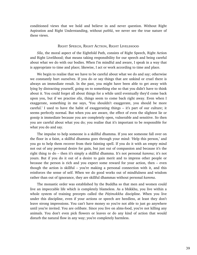conditioned views that we hold and believe in and never question. Without Right Aspiration and Right Understanding, without *pa¤¤à*, we never see the true nature of these views.

# Right Speech, Right Action, Right Livelihood

*Sãla*, the moral aspect of the Eightfold Path, consists of Right Speech, Right Action and Right Livelihood; that means taking responsibility for our speech and being careful about what we do with our bodies. When I'm mindful and aware, I speak in a way that is appropriate to time and place; likewise, I act or work according to time and place.

We begin to realise that we have to be careful about what we do and say; otherwise we constantly hurt ourselves. If you do or say things that are unkind or cruel there is always an immediate result. In the past, you might have been able to get away with lying by distracting yourself, going on to something else so that you didn't have to think about it. You could forget all about things for a while until eventually they'd come back upon you, but if we practise *sãla*, things seem to come back right away. Even when I exaggerate, something in me says, 'You shouldn't exaggerate, you should be more careful.' I used to have the habit of exaggerating things – it's part of our culture; it seems perfectly normal. But when you are aware, the effect of even the slightest lie or gossip is immediate because you are completely open, vulnerable and sensitive. So then you are careful about what you do; you realise that it's important to be responsible for what you do and say.

The impulse to help someone is a skillful dhamma. If you see someone fall over on the floor in a faint, a skillful dhamma goes through your mind: 'Help this person,' and you go to help them recover from their fainting spell. If you do it with an empty mind not out of any personal desire for gain, but just out of compassion and because it's the right thing to do – then it's simply a skillful dhamma. It's not personal *kamma*; it's not yours. But if you do it out of a desire to gain merit and to impress other people or because the person is rich and you expect some reward for your action, then – even though the action is skillful – you're making a personal connection with it, and this reinforces the sense of self. When we do good works out of mindfulness and wisdom rather than out of ignorance, they are skillful dhammas without personal *kamma*.

The monastic order was established by the Buddha so that men and women could live an impeccable life which is completely blameless. As a bhikkhu, you live within a whole system of training precepts called the *Pàñimokkha* discipline. When you live under this discipline, even if your actions or speech are heedless, at least they don't leave strong impressions. You can't have money so you're not able to just go anywhere until you're invited. You are celibate. Since you live on alms-food, you're not killing any animals. You don't even pick flowers or leaves or do any kind of action that would disturb the natural flow in any way; you're completely harmless.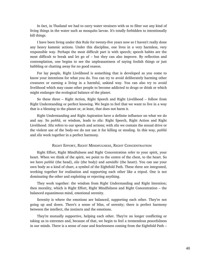In fact, in Thailand we had to carry water strainers with us to filter out any kind of living things in the water such as mosquito larvae. It's totally forbidden to intentionally kill things.

I have been living under this Rule for twenty-five years now so I haven't really done any heavy kammic actions. Under this discipline, one lives in a very harmless, very responsible way. Perhaps the most difficult part is with speech; speech habits are the most difficult to break and let go of – but they can also improve. By reflection and contemplation, one begins to see the unpleasantness of saying foolish things or just babbling or chatting away for no good reason.

For lay people, Right Livelihood is something that is developed as you come to know your intentions for what you do. You can try to avoid deliberately harming other creatures or earning a living in a harmful, unkind way. You can also try to avoid livelihood which may cause other people to become addicted to drugs or drink or which might endanger the ecological balance of the planet.

So these three – Right Action, Right Speech and Right Livelihood – follow from Right Understanding or perfect knowing. We begin to feel that we want to live in a way that is a blessing to the planet or, at least, that does not harm it.

Right Understanding and Right Aspiration have a definite influence on what we do and say. So paññā, or wisdom, leads to sīla: Right Speech, Right Action and Right Livelihood. *Sãla* refers to our speech and actions; with *sãla* we contain the sexual drive or the violent use of the body-we do not use it for killing or stealing. In this way, *pañña* and *sãla* work together in a perfect harmony.

# Right Effort, Right Mindfulness, Right Concentration

Right Effort, Right Mindfulness and Right Concentration refer to your spirit, your heart. When we think of the spirit, we point to the centre of the chest, to the heart. So we have *pa¤¤à* (the head), *sãla* (the body) and *samàdhi* (the heart). You can use your own body as a kind of chart, a symbol of the Eightfold Path. These three are integrated, working together for realisation and supporting each other like a tripod. One is not dominating the other and exploiting or rejecting anything.

They work together: the wisdom from Right Understanding and Right Intention; then morality, which is Right Effort, Right Mindfulness and Right Concentration – the balanced equanimous mind, emotional serenity.

Serenity is where the emotions are balanced, supporting each other. They're not going up and down. There's a sense of bliss, of serenity; there is perfect harmony between the intellect, the instincts and the emotions.

They're mutually supportive, helping each other. They're no longer conflicting or taking us to extremes and, because of that, we begin to feel a tremendous peacefulness in our minds. There is a sense of ease and fearlessness coming from the Eightfold Path –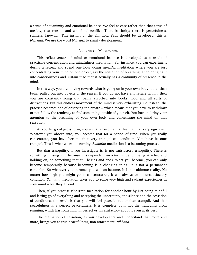a sense of equanimity and emotional balance. We feel at ease rather than that sense of anxiety, that tension and emotional conflict. There is clarity; there is peacefulness, stillness, knowing. This insight of the Eightfold Path should be developed; this is *bhàvanà*. We use the word *bhàvanà* to signify development.

#### Aspects of Meditation

This reflectiveness of mind or emotional balance is developed as a result of practising concentration and mindfulness meditation. For instance, you can experiment during a retreat and spend one hour doing *samatha* meditation where you are just concentrating your mind on one object, say the sensation of breathing. Keep bringing it into consciousness and sustain it so that it actually has a continuity of presence in the mind.

In this way, you are moving towards what is going on in your own body rather than being pulled out into objects of the senses. If you do not have any refuge within, then you are constantly going out, being absorbed into books, food and all sorts of distractions. But this endless movement of the mind is very exhausting. So instead, the practice becomes one of observing the breath – which means that you have to withdraw or not follow the tendency to find something outside of yourself. You have to bring your attention to the breathing of your own body and concentrate the mind on that sensation.

As you let go of gross form, you actually become that feeling, that very sign itself. Whatever you absorb into, you become that for a period of time. When you really concentrate, you have become that very tranquilised condition. You have become tranquil. This is what we call becoming. *Samatha* meditation is a becoming process.

But that tranquility, if you investigate it, is not satisfactory tranquility. There is something missing in it because it is dependent on a technique, on being attached and holding on, on something that still begins and ends. What you become, you can only become temporarily because becoming is a changing thing. It is not a permanent condition. So whatever you become, you will un-become. It is not ultimate reality. No matter how high you might go in concentration, it will always be an unsatisfactory condition. *Samatha* meditation takes you to some very high and radiant experiences in your mind – but they all end.

Then, if you practise *vipassanà* meditation for another hour by just being mindful and letting go of everything and accepting the uncertainty, the silence and the cessation of conditions, the result is that you will feel peaceful rather than tranquil. And that peacefulness is a perfect peacefulness. It is complete. It is not the tranquility from *samatha*, which has something imperfect or unsatisfactory about it even at its best.

The realisation of cessation, as you develop that and understand that more and more, brings you to true peacefulness, non-attachment, *Nibbàna*.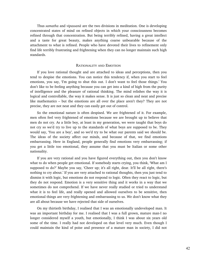Thus *samatha* and *vipassanà* are the two divisions in meditation. One is developing concentrated states of mind on refined objects in which your consciousness becomes refined through that concentration. But being terribly refined, having a great intellect and a taste for great beauty, makes anything coarse unbearable because of the attachment to what is refined. People who have devoted their lives to refinement only find life terribly frustrating and frightening when they can no longer maintain such high standards.

#### Rationality and Emotion

If you love rational thought and are attached to ideas and perceptions, then you tend to despise the emotions. You can notice this tendency if, when you start to feel emotions, you say, 'I'm going to shut this out. I don't want to feel those things.' You don't like to be feeling anything because you can get into a kind of high from the purity of intelligence and the pleasure of rational thinking. The mind relishes the way it is logical and controllable, the way it makes sense. It is just so clean and neat and precise like mathematics – but the emotions are all over the place aren't they? They are not precise, they are not neat and they can easily get out of control.

So the emotional nature is often despised. We are frightened of it. For example, men often feel very frightened of emotions because we are brought up to believe that men do not cry. As a little boy, at least in my generation, we were taught that boys do not cry so we'd try to live up to the standards of what boys are supposed to be. They would say, 'You are a boy', and so we'd try to be what our parents said we should be. The ideas of the society affect our minds, and because of that, we find emotions embarrassing. Here in England, people generally find emotions very embarrassing; if you get a little too emotional, they assume that you must be Italian or some other nationality.

If you are very rational and you have figured everything out, then you don't know what to do when people get emotional. If somebody starts crying, you think, 'What am I supposed to do?' Maybe you say, 'Cheer up; it's all right, dear. It'll be all right, there's nothing to cry about.' If you are very attached to rational thoughts, then you just tend to dismiss it with logic, but emotions do not respond to logic. Often they react to logic, but they do not respond. Emotion is a very sensitive thing and it works in a way that we sometimes do not comprehend. If we have never really studied or tried to understand what it is to feel life, and really opened and allowed ourselves to be sensitive, then emotional things are very frightening and embarrassing to us. We don't know what they are all about because we have rejected that side of ourselves.

On my thirtieth birthday, I realised that I was an emotionally undeveloped man. It was an important birthday for me. I realised that I was a full grown, mature man-I no longer considered myself a youth, but emotionally, I think I was about six years old some of the time. I really had not developed on that level very much. Even though I could maintain the kind of poise and presence of a mature man in society, I did not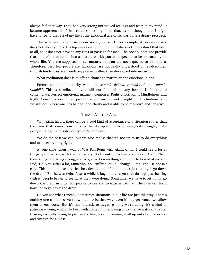always feel that way. I still had very strong unresolved feelings and fears in my mind. It became apparent that I had to do something about that, as the thought that I might have to spend the rest of my life at the emotional age of six was quite a dreary prospect.

This is where many of us in our society get stuck. For example, American society does not allow you to develop emotionally, to mature. It does not understand that need at all, so it does not provide any rites of passage for men. The society does not provide that kind of introduction into a mature world; you are expected to be immature your whole life. You are supposed to act mature, but you are not expected to be mature. Therefore, very few people are. Emotions are not really understood or resolved-their childish tendencies are merely suppressed rather than developed into maturity.

What meditation does is to offer a chance to mature on the emotional plane.

Perfect emotional maturity would be *sammà-vàyàma*, *sammà-sati* and *sammàsamàdhi*. This is a reflection; you will not find this in any book-it is for you to contemplate. Perfect emotional maturity comprises Right Effort, Right Mindfulness and Right Concentration. It is present when one is not caught in fluctuations and vicissitudes, where one has balance and clarity and is able to be receptive and sensitive.

# Things As They Are

With Right Effort, there can be a cool kind of acceptance of a situation rather than the panic that comes from thinking that it's up to me to set everybody straight, make everything right and solve everybody's problems.

We do the best we can, but we also realise that it's not up to us to do everything and make everything right.

At one time when I was at Wat Pah Pong with Ajahn Chah, I could see a lot of things going wrong with the monastery. So I went up to him and I said, 'Ajahn Chah, these things are going wrong; you've got to do something about it.' He looked at me and said, 'Oh, you suffer a lot, Sumedho. You suffer a lot. It'll change.' I thought, 'He doesn't care! This is the monastery that he's devoted his life to and he's just letting it go down the drain!' But he was right. After a while it began to change and, through just bearing with it, people began to see what they were doing. Sometimes we have to let things go down the drain in order for people to see and to experience that. Then we can learn how not to go down the drain.

Do you see what I mean? Sometimes situations in our life are just this way. There's nothing one can do so we allow them to be that way; even if they get worse, we allow them to get worse. But it's not fatalistic or negative thing we're doing; it's a kind of patience – being willing to bear with something; allowing it to change naturally rather than egotistically trying to prop everything up and cleaning it all up out of our aversion and distaste for a mess.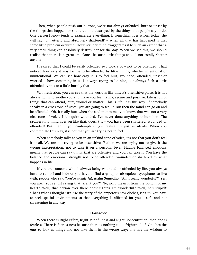Then, when people push our buttons, we're not always offended, hurt or upset by the things that happen, or shattered and destroyed by the things that people say or do. One person I know tends to exaggerate everything. If something goes wrong today, she will say, 'I'm utterly and absolutely shattered!' – when all that has happened is that some little problem occurred. However, her mind exaggerates it to such an extent that a very small thing can absolutely destroy her for the day. When we see this, we should realise that there is a great imbalance because little things should not totally shatter anyone.

I realised that I could be easily offended so I took a vow not to be offended. I had noticed how easy it was for me to be offended by little things, whether intentional or unintentional. We can see how easy it is to feel hurt, wounded, offended, upset or worried – how something in us is always trying to be nice, but always feels a little offended by this or a little hurt by that.

With reflection, you can see that the world is like this; it's a sensitive place. It is not always going to soothe you and make you feel happy, secure and positive. Life is full of things that can offend, hurt, wound or shatter. This is life. It is this way. If somebody speaks in a cross tone of voice, you are going to feel it. But then the mind can go on and be offended: 'Oh, it really hurt when she said that to me; you know, that was not a very nice tone of voice. I felt quite wounded. I've never done anything to hurt her.' The proliferating mind goes on like that, doesn't it – you have been shattered, wounded or offended! But then if you contemplate, you realise it's just sensitivity. When you contemplate this way, it is not that you are trying not to feel.

When somebody talks to you in an unkind tone of voice, it's not that you don't feel it at all. We are not trying to be insensitive. Rather, we are trying not to give it the wrong interpretation, not to take it on a personal level. Having balanced emotions means that people can say things that are offensive and you can take it. You have the balance and emotional strength not to be offended, wounded or shattered by what happens in life.

If you are someone who is always being wounded or offended by life, you always have to run off and hide or you have to find a group of obsequious sycophants to live with, people who say: 'You're *wonderful*, Ajahn Sumedho.' 'Am I really wonderful?' 'Yes, you are.' 'You're just saying that, aren't you?' 'No, no, I mean it from the bottom of my heart.' 'Well, that person over there doesn't think I'm wonderful.' 'Well, he's stupid!' 'That's what I thought.' It's like the story of the emperor's new clothes, isn't it? You have to seek special environments so that everything is affirmed for you – safe and not threatening in any way.

# **HARMONY**

When there is Right Effort, Right Mindfulness and Right Concentration, then one is fearless. There is fearlessness because there is nothing to be frightened of. One has the guts to look at things and not take them in the wrong way; one has the wisdom to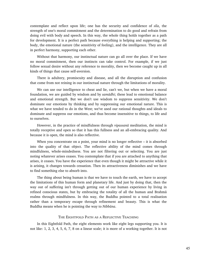contemplate and reflect upon life; one has the security and confidence of *sãla*, the strength of one's moral commitment and the determination to do good and refrain from doing evil with body and speech. In this way, the whole thing holds together as a path for development. It is a perfect path because everything is helping and supporting; the body, the emotional nature (the sensitivity of feeling), and the intelligence. They are all in perfect harmony, supporting each other.

Without that harmony, our instinctual nature can go all over the place. If we have no moral commitment, then our instincts can take control. For example, if we just follow sexual desire without any reference to morality, then we become caught up in all kinds of things that cause self-aversion.

There is adultery, promiscuity and disease, and all the disruption and confusion that come from not reining in our instinctual nature through the limitations of morality.

We can use our intelligence to cheat and lie, can't we, but when we have a moral foundation, we are guided by wisdom and by *samàdhi*; these lead to emotional balance and emotional strength. But we don't use wisdom to suppress sensitivity. We don't dominate our emotions by thinking and by suppressing our emotional nature. This is what we have tended to do in the West; we've used our rational thoughts and ideals to dominate and suppress our emotions, and thus become insensitive to things, to life and to ourselves.

However, in the practice of mindfulness through *vipassanà* meditation, the mind is totally receptive and open so that it has this fullness and an all-embracing quality. And because it is open, the mind is also reflective.

When you concentrate on a point, your mind is no longer reflective – it is absorbed into the quality of that object. The reflective ability of the mind comes through mindfulness, whole-mindedness. You are not filtering out or selecting. You are just noting whatever arises ceases. You contemplate that if you are attached to anything that arises, it ceases. You have the experience that even though it might be attractive while it is arising, it changes towards cessation. Then its attractiveness diminishes and we have to find something else to absorb into.

The thing about being human is that we have to touch the earth, we have to accept the limitations of this human form and planetary life. And just by doing that, then the way out of suffering isn't through getting out of our human experience by living in refined conscious states, but by embracing the totality of all the human and Brahmà realms through mindfulness. In this way, the Buddha pointed to a total realisation rather than a temporary escape through refinement and beauty. This is what the Buddha means when he is pointing the way to *Nibbàna*.

# The Eightfold Path as a Reflective Teaching

In this Eightfold Path, the eight elements work like eight legs supporting you. It is not like: 1, 2, 3, 4, 5, 6, 7, 8 on a linear scale; it is more of a working together. It is not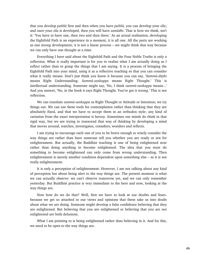that you develop *paññā* first and then when you have *paññā*, you can develop your *sīla*; and once your *sãla* is developed, then you will have *samàdhi*. That is how we think, isn't it: 'You have to have one, then two and then three.' As an actual realisation, developing the Eightfold Path is an experience in a moment, it is all one. All the parts are working as one strong development; it is not a linear process – we might think that way because we can only have one thought at a time.

Everything I have said about the Eightfold Path and the Four Noble Truths is only a reflection. What is really important is for you to realise what I am actually doing as I reflect rather than to grasp the things that I am saying. It is a process of bringing the Eightfold Path into your mind, using it as a reflective teaching so that you can consider what it really means. Don't just think you know it because you can say, 'Sammā-diṭṭhi means Right Understanding. *Sammà-sankappa* means Right Thought.' This is intellectual understanding. Someone might say, 'No, I think *sammà-sankappa* means...' And you answer, 'No, in the book it says Right Thought. You've got it wrong.' This is not reflection.

We can translate *sammà-sankappa* as Right Thought or Attitude or Intention; we try things out. We can use these tools for contemplation rather than thinking that they are absolutely fixed, and that we have to accept them in an orthodox style; any kind of variation from the exact interpretation is heresy. Sometimes our minds do think in that rigid way, but we are trying to transcend that way of thinking by developing a mind that moves around, watches, investigates, considers, wonders and reflects.

I am trying to encourage each one of you to be brave enough to wisely consider the way things are rather than have someone tell you whether you are ready or not for enlightenment. But actually, the Buddhist teaching is one of being enlightened now rather than doing anything to become enlightened. The idea that you must do something to become enlightened can only come from wrong understanding. Then enlightenment is merely another condition dependent upon something else – so it is not really enlightenment.

It is only a perception of enlightenment. However, I am not talking about any kind of perception but about being alert to the way things are. The present moment is what we can actually observe: we can't observe tomorrow yet, and we can only remember yesterday. But Buddhist practice is very immediate to the here and now, looking at the way things are.

Now how do we do that? Well, first we have to look at our doubts and fearsbecause we get so attached to our views and opinions that these take us into doubt about what we are doing. Someone might develop a false confidence believing that they are enlightened. But believing that you are enlightened or believing that you are not enlightened are both delusions.

What I am pointing to is being enlightened rather than believing in it. And for this, we need to be open to the way things are.